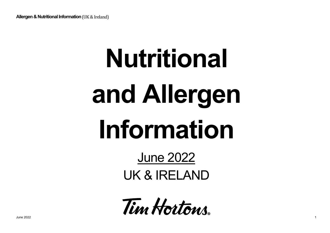# **Nutritional and Allergen Information**

### June 2022 UK & IRELAND

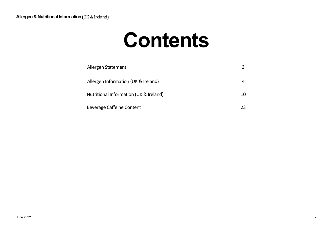### **Contents**

| Allergen Statement                     |    |
|----------------------------------------|----|
| Allergen Information (UK & Ireland)    |    |
| Nutritional Information (UK & Ireland) | 10 |
| Beverage Caffeine Content              | 23 |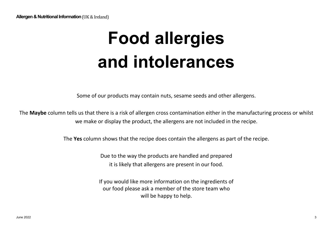## **Food allergies and intolerances**

Some of our products may contain nuts, sesame seeds and other allergens.

The **Maybe** column tells us that there is a risk of allergen cross contamination either in the manufacturing process or whilst we make or display the product, the allergens are not included in the recipe.

The **Yes** column shows that the recipe does contain the allergens as part of the recipe.

Due to the way the products are handled and prepared it is likely that allergens are present in our food.

If you would like more information on the ingredients of our food please ask a member of the store team who will be happy to help.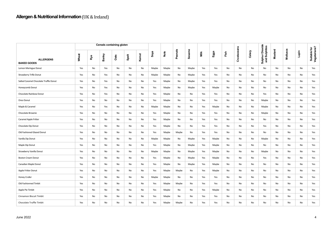|                                        |       | <b>Cereals containing gluten</b> |        |      |       |       |               |       |         |               |      |       |      |             |        |                                  |         |          |       |                              |
|----------------------------------------|-------|----------------------------------|--------|------|-------|-------|---------------|-------|---------|---------------|------|-------|------|-------------|--------|----------------------------------|---------|----------|-------|------------------------------|
| <b>ALLERGENS</b><br><b>BAKED GOODS</b> | Wheat | Rye                              | Barley | Oats | Spelt | Kamut | $\frac{1}{2}$ | Nuts  | Peanuts | <b>Sesame</b> | Milk | Eggs  | Fish | Crustaceans | Celery | Sulphur Dioxide<br>and Sulphites | Mustard | Molluscs | Lupin | Suitable for<br>Vegetarians? |
| Lemon Meringue Donut                   | Yes   | No                               | Yes    | No   | No    | No    | Maybe         | Maybe | No      | Maybe         | Yes  | Yes   | No   | No          | No     | No                               | No      | No       | No    | Yes                          |
| Strawberry Trifle Donut                | Yes   | No                               | Yes    | No   | No    | No    | Maybe         | Maybe | No      | Maybe         | Yes  | Yes   | No   | No          | No     | No                               | No      | No       | No    | Yes                          |
| Salted Caramel Chocolate Truffle Donut | Yes   | No                               | Yes    | No   | No    | No    | Yes           | Maybe | No      | Maybe         | Yes  | Yes   | No   | No          | No     | No                               | No      | No       | No    | Yes                          |
| Honeycomb Donut                        | Yes   | No                               | Yes    | No   | No    | No    | Yes           | Maybe | No      | Maybe         | Yes  | Maybe | No   | No          | No     | No                               | No      | No       | No    | Yes                          |
| Chocolate Rainbow Donut                | Yes   | No                               | Yes    | No   | No    | No    | Yes           | Maybe | No      | No            | Yes  | Yes   | No   | No          | No     | Yes                              | No      | No       | No    | Yes                          |
| Oreo Donut                             | Yes   | No                               | No     | No   | No    | No    | Yes           | Maybe | No      | No            | Yes  | Yes   | No   | No          | No     | Maybe                            | No      | No       | No    | Yes                          |
| Maple & Caramel                        | Yes   | No                               | Yes    | No   | No    | No    | Maybe         | Maybe | No      | No            | Yes  | Maybe | No   | No          | No     | Maybe                            | No      | No       | No    | Yes                          |
| Chocolate Brownie                      | Yes   | No                               | No     | No   | No    | No    | Yes           | Maybe | No      | No            | Yes  | Yes   | No   | No          | No     | Maybe                            | No      | No       | No    | Yes                          |
| Caramel Apple Fritter                  | Yes   | No                               | No     | No   | No    | No    | Yes           | Maybe | No      | No            | Yes  | Yes   | No   | No          | No     | No                               | No      | No       | No    | Yes                          |
| Chocolate Dip Donut                    | Yes   | No                               | No     | No   | No    | No    | Yes           | Maybe | No      | No            | Yes  | Yes   | No   | No          | No     | Yes                              | No      | No       | No    | Yes                          |
| Old Fashioned Glazed Donut             | Yes   | No                               | No     | No   | No    | No    | Yes           | Maybe | Maybe   | No            | Yes  | Yes   | No   | No          | No     | No                               | No      | No       | No    | Yes                          |
| Vanilla Dip Donut                      | Yes   | No                               | No     | No   | No    | No    | Maybe         | Maybe | No      | Maybe         | Yes  | Maybe | No   | No          | No     | Maybe                            | No      | No       | No    | Yes                          |
| Maple Dip Donut                        | Yes   | No                               | No     | No   | No    | No    | Yes           | Maybe | No      | Maybe         | Yes  | Maybe | No   | No          | No     | No                               | No      | No       | No    | Yes                          |
| Strawberry Vanilla Donut               | Yes   | No                               | No     | No   | No    | No    | Maybe         | Maybe | No      | Maybe         | Yes  | Maybe | No   | No          | No     | Maybe                            | No      | No       | No    | Yes                          |
| <b>Boston Cream Donut</b>              | Yes   | No                               | No     | No   | No    | No    | Yes           | Maybe | No      | Maybe         | Yes  | Maybe | No   | No          | No     | Yes                              | No      | No       | No    | Yes                          |
| Canadian Maple Donut                   | Yes   | No                               | No     | No   | No    | No    | Yes           | Maybe | No      | Maybe         | Yes  | Maybe | No   | No          | No     | No                               | No      | No       | No    | Yes                          |
| Apple Fritter Donut                    | Yes   | No                               | No     | No   | No    | No    | Yes           | Maybe | Maybe   | No            | Yes  | Maybe | No   | No          | No     | No                               | No      | No       | No    | Yes                          |
| Honey Cruller                          | Yes   | No                               | No     | No   | No    | No    | Maybe         | Maybe | No      | No            | Yes  | Yes   | No   | No          | No     | No                               | No      | No       | No    | Yes                          |
| Old Fashionned Timbit                  | Yes   | No                               | No     | No   | No    | No    | Yes           | Maybe | Maybe   | No            | Yes  | Yes   | No   | No          | No     | No                               | No      | No       | No    | Yes                          |
| Apple Pie Timbit                       | Yes   | No                               | No     | No   | No    | No    | Yes           | Maybe | No      | No            | Yes  | Maybe | No   | No          | No     | No                               | No      | No       | No    | Yes                          |
| Cinnamon Biscuit Timbit                | Yes   | No                               | No     | No   | No    | No    | Yes           | Maybe | No      | No            | Yes  | Yes   | No   | No          | No     | No                               | No      | No       | No    | Yes                          |
| Chocolate Truffle Timbit               | Yes   | No                               | No     | No   | No    | No    | Yes           | Maybe | Maybe   | No            | Yes  | Yes   | No   | No          | No     | No                               | No      | No       | No    | Yes                          |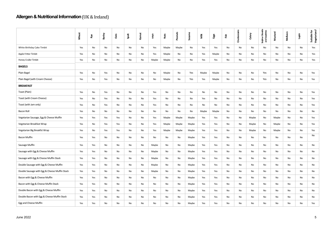|                                               | Wheat | ę۴  | Barley | Oats | Spelt | Kamut | soya  | Nuts  | Peanuts | Sesame | Ĕ     | Eggs  | Fish | Crustaceans | Celery | Dioxide<br><b>I</b> Sulphites<br>Sulphur  <br>and Sul | Mustard | Molluscs | ilapin | Suitable for<br>Vegetarians? |
|-----------------------------------------------|-------|-----|--------|------|-------|-------|-------|-------|---------|--------|-------|-------|------|-------------|--------|-------------------------------------------------------|---------|----------|--------|------------------------------|
| White Birthday Cake Timbit                    | Yes   | No  | No     | No   | No    | No    | Yes   | Maybe | Maybe   | No     | Yes   | Yes   | No   | No          | No     | No                                                    | No      | No       | No     | Yes                          |
| Apple Fritter Timbit                          | Yes   | No  | No     | No   | No    | No    | Yes   | Maybe | No      | No     | Yes   | Maybe | No   | No          | No     | No                                                    | No      | No       | No     | Yes                          |
| Honey Cruller Timbit                          | Yes   | No  | No     | No   | No    | No    | Maybe | Maybe | No      | No     | Yes   | Yes   | No   | No          | No     | No                                                    | No      | No       | No     | Yes                          |
| <b>BAGELS</b>                                 |       |     |        |      |       |       |       |       |         |        |       |       |      |             |        |                                                       |         |          |        |                              |
| Plain Bagel                                   | Yes   | No  | Yes    | No   | No    | No    | No    | Maybe | No      | Yes    | Maybe | Maybe | No   | No          | No     | Yes                                                   | No      | No       | No     | Yes                          |
| Plain Bagel (with Cream Cheese)               | Yes   | No  | Yes    | No   | No    | No    | No    | Maybe | No      | Yes    | Yes   | Maybe | No   | No          | No     | Yes                                                   | No      | No       | No     | Yes                          |
| <b>BREAKFAST</b>                              |       |     |        |      |       |       |       |       |         |        |       |       |      |             |        |                                                       |         |          |        |                              |
| Toast (Plain)                                 | Yes   | No  | Yes    | No   | No    | No    | Yes   | No    | No      | No     | No    | No    | No   | No          | No     | No                                                    | No      | No       | No     | Yes                          |
| Toast (with Cream Cheese)                     | Yes   | No  | Yes    | No   | No    | No    | Yes   | No    | No      | No     | Yes   | No    | No   | No          | No     | No                                                    | No      | No       | No     | Yes                          |
| Toast (with Jam only)                         | Yes   | No  | Yes    | No   | No    | No    | Yes   | No    | No      | No     | No    | No    | No   | No          | No     | No                                                    | No      | No       | No     | Yes                          |
| Bacon Roll                                    | Yes   | No  | No     | No   | No    | No    | No    | No    | No      | No     | Maybe | Maybe | No   | No          | No     | No                                                    | No      | No       | No     | No                           |
| Vegetarian Sausage, Egg & Cheese Muffin       | Yes   | Yes | Yes    | Yes  | No    | No    | Yes   | Maybe | Maybe   | Maybe  | Yes   | Yes   | No   | No          | Maybe  | No                                                    | Maybe   | No       | No     | Yes                          |
| Vegetarian Breakfast Wrap                     | Yes   | No  | Yes    | Yes  | No    | No    | Yes   | Maybe | Maybe   | Maybe  | Yes   | Yes   | No   | No          | Maybe  | No                                                    | Maybe   | No       | No     | Yes                          |
| Vegetarian Big Breakfst Wrap                  | Yes   | No  | Yes    | Yes  | No    | No    | Yes   | Maybe | Maybe   | Maybe  | Yes   | Yes   | No   | No          | Maybe  | No                                                    | Maybe   | No       | No     | Yes                          |
| Bacon Muffin                                  | Yes   | Yes | No     | No   | No    | No    | No    | No    | No      | Maybe  | Yes   | Yes   | No   | No          | No     | No                                                    | No      | No       | No     | No                           |
| Sausage Muffin                                | Yes   | Yes | No     | No   | No    | No    | Maybe | No    | No      | Maybe  | Yes   | Yes   | No   | No          | No     | No                                                    | No      | No       | No     | No                           |
| Sausage with Egg & Cheese Muffin              | Yes   | Yes | No     | No   | No    | No    | Maybe | No    | No      | Maybe  | Yes   | Yes   | No   | No          | No     | No                                                    | No      | No       | No     | No                           |
| Sausage with Egg & Cheese Muffin Stack        | Yes   | Yes | No     | No   | No    | No    | Maybe | No    | No      | Maybe  | Yes   | Yes   | No   | No          | No     | No                                                    | No      | No       | No     | No                           |
| Double Sausage with Egg & Cheese Muffin       | Yes   | Yes | No     | No   | No    | No    | Maybe | No    | No      | Maybe  | Yes   | Yes   | No   | No          | No     | No                                                    | No      | No       | No     | No                           |
| Double Sausage with Egg & Cheese Muffin Stack | Yes   | Yes | No     | No   | No    | No    | Maybe | No    | No      | Maybe  | Yes   | Yes   | No   | No          | No     | No                                                    | No      | No       | No     | No                           |
| Bacon with Egg & Cheese Muffin                | Yes   | Yes | No     | No   | No    | No    | No    | No    | No      | Maybe  | Yes   | Yes   | No   | No          | No     | No                                                    | No      | No       | No     | No                           |
| Bacon with Egg & Cheese Muffin Stack          | Yes   | Yes | No     | No   | No    | No    | No    | No    | No      | Maybe  | Yes   | Yes   | No   | No          | No     | No                                                    | No      | No       | No     | No                           |
| Double Bacon with Egg & Cheese Muffin         | Yes   | Yes | No     | No   | No    | No    | No    | No    | No      | Maybe  | Yes   | Yes   | No   | No          | No     | No                                                    | No      | No       | No     | No                           |
| Double Bacon with Egg & Cheese Muffin Stack   | Yes   | Yes | No     | No   | No    | No    | No    | No    | No      | Maybe  | Yes   | Yes   | No   | No          | No     | No                                                    | No      | No       | No     | No                           |
| Egg and Cheese Muffin                         | Yes   | Yes | No     | No   | No    | No    | No    | No    | No      | Maybe  | Yes   | Yes   | No   | No          | No     | No                                                    | No      | No       | No     | Yes                          |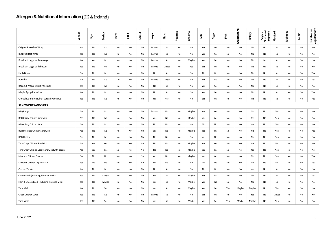|                                                 | Wheat | Rye | Barley | Oats | Spelt | Kamut | soya  | Nuts  | Peanuts | <b>Sesame</b> | Milk | Eggs | Fish | Crustaceans | Celery | Sulphur<br>Dioxide and<br>Sulphites | <b>Mustard</b> | Molluscs | Lupin | Suitable for<br>Vegetarians? |
|-------------------------------------------------|-------|-----|--------|------|-------|-------|-------|-------|---------|---------------|------|------|------|-------------|--------|-------------------------------------|----------------|----------|-------|------------------------------|
| Original Breakfast Wrap                         | Yes   | No  | No     | No   | No    | No    | Maybe | No    | No      | No            | Yes  | Yes  | No   | No          | No     | No                                  | No             | No       | No    | No                           |
| <b>Big Breakfast Wrap</b>                       | Yes   | No  | No     | No   | No    | No    | Maybe | No    | No      | No            | Yes  | Yes  | No   | No          | No     | No                                  | No             | No       | No    | No                           |
| Breakfast bagel with sausage                    | Yes   | Yes | No     | No   | No    | No    | Maybe | No    | No      | Maybe         | Yes  | Yes  | No   | No          | No     | Yes                                 | No             | No       | No    | No                           |
| Breakfast bagel with bacon                      | Yes   | No  | Yes    | No   | No    | No    | Maybe | Maybe | No      | Yes           | Yes  | Yes  | No   | No          | No     | Yes                                 | No             | No       | No    | No                           |
| Hash Brown                                      | No    | No  | No     | No   | No    | No    | No    | No    | No      | No            | No   | No   | No   | No          | No     | No                                  | No             | No       | No    | Yes                          |
| Porridge                                        | No    | No  | No     | Yes  | No    | No    | Maybe | Maybe | No      | No            | Yes  | No   | No   | No          | No     | No                                  | No             | No       | No    | Yes                          |
| Bacon & Maple Syrup Pancakes                    | Yes   | No  | No     | No   | No    | No    | No    | No    | No      | No            | Yes  | Yes  | No   | No          | No     | No                                  | No             | No       | No    | No                           |
| Maple Syrup Pancakes                            | Yes   | No  | No     | No   | No    | No    | No    | No    | No      | No            | Yes  | Yes  | No   | No          | No     | No                                  | No             | No       | No    | Yes                          |
| Chocolate and Hazelnut spread Pancakes          | Yes   | No  | No     | No   | No    | No    | Yes   | Yes   | No      | No            | Yes  | Yes  | No   | No          | No     | No                                  | No             | No       | No    | Yes                          |
| <b>SANDWICHES AND SIDES</b>                     |       |     |        |      |       |       |       |       |         |               |      |      |      |             |        |                                     |                |          |       |                              |
| <b>BBQ Burger</b>                               | Yes   | No  | No     | No   | No    | No    | Maybe | No    | No      | Maybe         | Yes  | Yes  | No   | No          | No     | No                                  | Yes            | No       | No    | No                           |
| BBQ Crispy Chicken Sandwich                     | Yes   | No  | No     | No   | No    | No    | Yes   | No    | No      | Maybe         | Yes  | Yes  | No   | No          | Yes    | No                                  | Yes            | No       | No    | No                           |
| <b>BBQ Crispy Chicken Wrap</b>                  | Yes   | No  | No     | No   | No    | No    | No    | No    | No      | No            | No   | No   | No   | No          | Yes    | No                                  | Yes            | No       | No    | No                           |
| BBQ Meatless Chicken Sandwich                   | Yes   | No  | No     | No   | No    | No    | Yes   | No    | No      | Maybe         | Yes  | Yes  | No   | No          | No     | No                                  | Yes            | No       | No    | Yes                          |
| <b>BBQ Hotdog</b>                               | Yes   | No  | No     | No   | No    | No    | No    | No    | No      | No            | Yes  | No   | No   | No          | No     | No                                  | Yes            | No       | No    | No                           |
| Tims Crispy Chicken Sandwich                    | Yes   | Yes | Yes    | No   | No    | No    | No    | No    | No      | Maybe         | Yes  | Yes  | No   | No          | Yes    | No                                  | Yes            | No       | No    | No                           |
| Tims Crispy Chicken Stack Sandwich (with bacon) | Yes   | Yes | Yes    | No   | No    | No    | No    | No    | No      | Maybe         | Yes  | Yes  | No   | No          | Yes    | No                                  | Yes            | No       | No    | No                           |
| Meatless Chicken Brioche                        | Yes   | No  | No     | No   | No    | No    | Yes   | No    | No      | Maybe         | Yes  | Yes  | No   | No          | No     | No                                  | Yes            | No       | No    | Yes                          |
| Meatless Chicken Vegan Wrap                     | Yes   | No  | No     | No   | No    | No    | Yes   | No    | No      | No            | No   | No   | No   | No          | No     | No                                  | No             | No       | No    | Yes                          |
| <b>Chicken Tenders</b>                          | Yes   | No  | No     | No   | No    | No    | No    | No    | No      | No            | No   | No   | No   | No          | Yes    | No                                  | No             | No       | No    | No                           |
| Cheese Melt (including Timmies minis)           | Yes   | No  | Maybe  | No   | No    | No    | Yes   | No    | No      | Maybe         | Yes  | No   | No   | No          | No     | No                                  | No             | No       | No    | Yes                          |
| Ham & Cheese Melt (including TImmies Mini)      | Yes   | No  | Maybe  | No   | No    | No    | Yes   | No    | No      | Maybe         | Yes  | No   | No   | No          | No     | No                                  | No             | No       | No    | No                           |
| <b>Tuna Melt</b>                                | Yes   | No  | Yes    | No   | No    | No    | Yes   | No    | No      | Maybe         | Yes  | Yes  | Yes  | Maybe       | Maybe  | No                                  | Yes            | No       | No    | No                           |
| Crispy Chicken Wrap                             | Yes   | No  | No     | No   | No    | No    | Maybe | No    | No      | No            | Yes  | Yes  | No   | No          | Yes    | No                                  | Maybe          | No       | No    | No                           |
| Tuna Wrap                                       | Yes   | No  | Yes    | No   | No    | No    | Yes   | No    | No      | Maybe         | Yes  | Yes  | Yes  | Maybe       | Maybe  | No                                  | Yes            | No       | No    | No                           |
| <b>June 2022</b>                                |       |     |        |      |       |       |       |       |         |               |      |      |      |             |        |                                     |                |          |       | 6                            |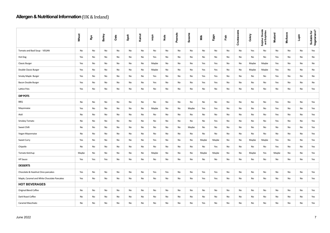|                                             | Wheat | Rye | Barley | Oats | Spelt | Kamut | soya  | Nuts | Peanuts | Sesame | Milk  | Eggs  | Fish | Crustaceans | Celery | <b>Sulphur Dioxide</b><br>and Sulphites | Mustard | Molluscs | Lupin | Suitable for<br>Vegetarians? |
|---------------------------------------------|-------|-----|--------|------|-------|-------|-------|------|---------|--------|-------|-------|------|-------------|--------|-----------------------------------------|---------|----------|-------|------------------------------|
| Tomato and Basil Soup - VEGAN               | No    | No  | No     | No   | No    | No    | No    | No   | No      | No     | No    | No    | No   | No          | Yes    | No                                      | No      | No       | No    | Yes                          |
| Hot Dog                                     | Yes   | No  | No     | No   | No    | No    | Yes   | No   | No      | No     | No    | No    | No   | No          | No     | No                                      | Yes     | No       | No    | No                           |
| <b>Classic Burger</b>                       | Yes   | No  | No     | No   | No    | No    | Maybe | No   | No      | No     | Yes   | Yes   | No   | No          | Maybe  | Maybe                                   | Yes     | No       | No    | No                           |
| Double Classic Burger                       | Yes   | No  | No     | No   | No    | No    | Maybe | No   | No      | No     | Yes   | Yes   | No   | No          | Maybe  | Maybe                                   | Yes     | No       | No    | No                           |
| Smoky Maple Burger                          | Yes   | No  | No     | No   | No    | No    | Yes   | No   | No      | No     | Yes   | Yes   | No   | No          | No     | No                                      | Yes     | No       | No    | No                           |
| Bacon Double Burger                         | Yes   | No  | No     | No   | No    | No    | Yes   | No   | No      | No     | Yes   | Yes   | No   | No          | No     | No                                      | Yes     | No       | No    | No                           |
| Lattice fries                               | Yes   | No  | No     | No   | No    | No    | No    | No   | No      | No     | No    | No    | No   | No          | No     | No                                      | No      | No       | No    | Yes                          |
| <b>DIP POTS</b>                             |       |     |        |      |       |       |       |      |         |        |       |       |      |             |        |                                         |         |          |       |                              |
| BBQ                                         | No    | No  | No     | No   | No    | No    | No    | No   | No      | No     | No    | No    | No   | No          | No     | No                                      | Yes     | No       | No    | Yes                          |
| Mayonnaise                                  | Yes   | No  | No     | No   | No    | No    | Maybe | No   | No      | Maybe  | Yes   | Yes   | No   | No          | No     | No                                      | Yes     | No       | No    | Yes                          |
| Aioli                                       | No    | No  | No     | No   | No    | No    | No    | No   | No      | No     | No    | No    | No   | No          | No     | No                                      | Yes     | No       | No    | Yes                          |
| Smokey Tomato                               | No    | No  | No     | No   | No    | No    | No    | No   | No      | No     | No    | Yes   | No   | No          | No     | No                                      | Yes     | No       | No    | Yes                          |
| Sweet Chilli                                | No    | No  | No     | No   | No    | No    | No    | No   | No      | Maybe  | No    | No    | No   | No          | No     | No                                      | No      | No       | No    | Yes                          |
| Vegan Mayonnaise                            | No    | No  | No     | No   | No    | No    | No    | No   | No      | No     | No    | No    | No   | No          | No     | No                                      | No      | No       | No    | Yes                          |
| Sweet Curry                                 | Yes   | No  | No     | No   | No    | No    | Yes   | No   | No      | No     | Maybe | Maybe | No   | No          | Maybe  | Maybe                                   | Yes     | No       | No    | Yes                          |
| Chipotle                                    | No    | No  | No     | No   | No    | No    | No    | No   | No      | No     | No    | Yes   | No   | No          | No     | No                                      | Yes     | No       | No    | Yes                          |
| Tomato Ketchup                              | Maybe | No  | No     | No   | No    | No    | Maybe | No   | No      | No     | Maybe | Maybe | No   | No          | Maybe  | Yes                                     | Maybe   | No       | No    | Yes                          |
| <b>HP Sauce</b>                             | Yes   | Yes | Yes    | No   | No    | No    | No    | No   | No      | No     | No    | No    | No   | No          | No     | No                                      | No      | No       | No    | Yes                          |
| <b>DESSERTS</b>                             |       |     |        |      |       |       |       |      |         |        |       |       |      |             |        |                                         |         |          |       |                              |
| Chocolate & Hazelnut Oreo pancakes          | Yes   | No  | No     | No   | No    | No    | Yes   | Yes  | No      | No     | Yes   | Yes   | No   | No          | No     | No                                      | No      | No       | No    | Yes                          |
| Maple, Caramel and White Chocolate Pancakes | Yes   | No  | No     | No   | No    | No    | No    | No   | No      | No     | Yes   | Yes   | No   | No          | No     | No                                      | No      | No       | No    | Yes                          |
| <b>HOT BEVERAGES</b>                        |       |     |        |      |       |       |       |      |         |        |       |       |      |             |        |                                         |         |          |       |                              |
| Original Blend Coffee                       | No    | No  | No     | No   | No    | No    | No    | No   | No      | No     | No    | No    | No   | No          | No     | No                                      | No      | No       | No    | Yes                          |
| Dark Roast Coffee                           | No    | No  | No     | No   | No    | No    | No    | No   | No      | No     | No    | No    | No   | No          | No     | No                                      | No      | No       | No    | Yes                          |
| Caramel Macchiato                           | No    | No  | No     | No   | No    | No    | No    | No   | No      | No     | Yes   | No    | No   | No          | No     | No                                      | No      | No       | No    | Yes                          |
| <b>June 2022</b>                            |       |     |        |      |       |       |       |      |         |        |       |       |      |             |        |                                         |         |          |       | $\overline{7}$               |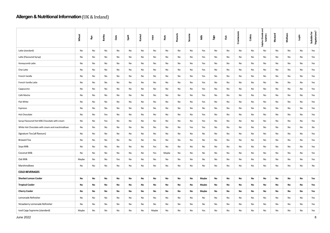|                                                 | Wheat | Rγe | Barley | Oats | Spelt | Kamut | soya  | <b>Nuts</b> | Peanuts | Sesame | Ĕ     | Eggs | Fish | Crustaceans | Celery | and<br>Sulphur Dioxide<br>Sulphites | Mustard | <b>Molluscs</b> | Lupin | Suitable for<br>Vegetarians? |
|-------------------------------------------------|-------|-----|--------|------|-------|-------|-------|-------------|---------|--------|-------|------|------|-------------|--------|-------------------------------------|---------|-----------------|-------|------------------------------|
| Latte (standard)                                | No    | No  | No     | No   | No    | No    | No    | No          | No      | No     | Yes   | No   | No   | No          | No     | No                                  | No      | No              | No    | Yes                          |
| Latte (Flavoured Syrup)                         | No    | No  | No     | No   | No    | No    | No    | No          | No      | No     | Yes   | No   | No   | No          | No     | No                                  | No      | No              | No    | Yes                          |
| Honeycomb Latte                                 | No    | No  | No     | No   | No    | No    | No    | No          | No      | No     | Yes   | No   | No   | No          | No     | No                                  | No      | No              | No    | Yes                          |
| Chai Latte                                      | No    | No  | No     | No   | No    | No    | No    | No          | No      | No     | Yes   | No   | No   | No          | No     | No                                  | No      | No              | No    | Yes                          |
| French Vanilla                                  | No    | No  | No     | No   | No    | No    | No    | No          | No      | No     | Yes   | No   | No   | No          | No     | No                                  | No      | No              | No    | Yes                          |
| French Vanilla Latte                            | No    | No  | No     | No   | No    | No    | No    | No          | No      | No     | Yes   | No   | No   | No          | No     | No                                  | No      | No              | No    | Yes                          |
| Cappuccino                                      | No    | No  | No     | No   | No    | No    | No    | No          | No      | No     | Yes   | No   | No   | No          | No     | No                                  | No      | No              | No    | Yes                          |
| Café Mocha                                      | No    | No  | No     | No   | No    | No    | No    | No          | No      | No     | Yes   | No   | No   | No          | No     | No                                  | No      | No              | No    | Yes                          |
| Flat White                                      | No    | No  | No     | No   | No    | No    | No    | No          | No      | No     | Yes   | No   | No   | No          | No     | No                                  | No      | No              | No    | Yes                          |
| Espresso                                        | No    | No  | No     | No   | No    | No    | No    | No          | No      | No     | No    | No   | No   | No          | No     | No                                  | No      | No              | No    | Yes                          |
| <b>Hot Chocolate</b>                            | No    | No  | Yes    | No   | No    | No    | No    | No          | No      | No     | Yes   | No   | No   | No          | No     | No                                  | No      | No              | No    | Yes                          |
| Syrup Flavoured Hot Milk Chocolate with cream   | No    | No  | Yes    | No   | No    | No    | No    | No          | No      | No     | Yes   | No   | No   | No          | No     | No                                  | No      | No              | No    | Yes                          |
| White Hot Chocolate with cream and marshmallows | No    | No  | No     | No   | No    | No    | No    | No          | No      | Yes    | Yes   | No   | No   | No          | No     | No                                  | No      | No              | No    | No                           |
| Signature Tea (all flavours)                    | No    | No  | No     | No   | No    | No    | No    | No          | No      | No     | No    | No   | No   | No          | No     | No                                  | No      | No              | No    | Yes                          |
| <b>Brewed Tea</b>                               | No    | No  | No     | No   | No    | No    | No    | No          | No      | No     | No    | No   | No   | No          | No     | No                                  | No      | No              | No    | Yes                          |
| Soya Milk                                       | No    | No  | No     | No   | No    | No    | Yes   | No          | No      | No     | No    | No   | No   | No          | No     | No                                  | No      | No              | No    | Yes                          |
| Coconut Milk                                    | No    | No  | No     | No   | No    | No    | Yes   | Maybe       | No      | No     | No    | No   | No   | No          | No     | No                                  | No      | No              | No    | Yes                          |
| Oat Milk                                        | Maybe | No  | No     | Yes  | No    | No    | No    | No          | No      | No     | No    | No   | No   | No          | No     | No                                  | No      | No              | No    | Yes                          |
| Marshmallows                                    | No    | No  | No     | No   | No    | No    | No    | No          | No      | No     | No    | No   | No   | No          | No     | No                                  | No      | No              | No    | No                           |
| <b>COLD BEVERAGES</b>                           |       |     |        |      |       |       |       |             |         |        |       |      |      |             |        |                                     |         |                 |       |                              |
| <b>Sherbet Lemon Cooler</b>                     | No    | No  | No     | No   | No    | No    | No    | No          | No      | No     | Maybe | No   | No   | No          | No     | No                                  | No      | No              | No    | Yes                          |
| <b>Tropical Cooler</b>                          | No    | No  | No     | No   | No    | No    | No    | No          | No      | No     | Maybe | No   | No   | No          | No     | No                                  | No      | No              | No    | Yes                          |
| <b>Cherry Cooler</b>                            | No    | No  | No     | No   | No    | No    | No    | No          | No      | No     | Maybe | No   | No   | No          | No     | No                                  | No      | No              | No    | Yes                          |
| Lemonade Refresher                              | No    | No  | No     | No   | No    | No    | No    | No          | No      | No     | No    | No   | No   | No          | No     | No                                  | No      | No              | No    | Yes                          |
| Strawberry Lemonade Refresher                   | No    | No  | No     | No   | No    | No    | No    | No          | No      | No     | No    | No   | No   | No          | No     | No                                  | No      | No              | No    | Yes                          |
| Iced Capp Supreme (standard)                    | Maybe | No  | No     | No   | No    | No    | Maybe | No          | No      | No     | Yes   | No   | No   | No          | No     | No                                  | No      | No              | No    | Yes                          |
| <b>June 2022</b>                                |       |     |        |      |       |       |       |             |         |        |       |      |      |             |        |                                     |         |                 |       | 8                            |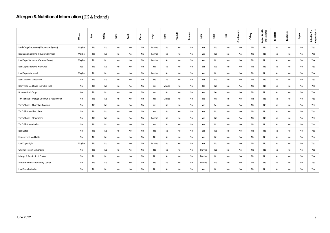|                                             | Wheat | Rγe | Barley | Oats | Spelt | Kamut | soya  | Nuts  | Peanuts | Sesame | Ĕ     | Eggs | Eish | Crustaceans | Celery        | Sulphur Dioxide<br>and Sulphites | Mustard | Molluscs | iquin | Suitable for<br>Vegetarians? |
|---------------------------------------------|-------|-----|--------|------|-------|-------|-------|-------|---------|--------|-------|------|------|-------------|---------------|----------------------------------|---------|----------|-------|------------------------------|
| Iced Capp Supreme (Chocolate Syrup)         | Maybe | No  | No     | No   | No    | No    | Maybe | No    | No      | No     | Yes   | No   | No   | No          | No            | No                               | No      | No       | No    | Yes                          |
| Iced Capp Supreme (Flavoured Syrup)         | Maybe | No  | No     | No   | No    | No    | Maybe | No    | No      | No     | Yes   | No   | No   | No          | No            | No                               | No      | No       | No    | Yes                          |
| Iced Capp Supreme (Caramel Sauce)           | Maybe | No  | No     | No   | No    | No    | Maybe | No    | No      | No     | Yes   | No   | No   | No          | $\mathsf{No}$ | No                               | No      | No       | No    | Yes                          |
| Iced Capp Supreme with Oreo                 | Yes   | No  | No     | No   | No    | No    | Yes   | No    | No      | No     | Yes   | No   | No   | No          | No            | No                               | No      | No       | No    | Yes                          |
| Iced Capp (standard)                        | Maybe | No  | No     | No   | No    | No    | Maybe | No    | No      | No     | Yes   | No   | No   | No          | No            | No                               | No      | No       | No    | Yes                          |
| Iced Caramel Macchiato                      | No    | No  | No     | No   | No    | No    | No    | No    | No      | No     | Yes   | No   | No   | No          | No            | No                               | No      | No       | No    | Yes                          |
| Dairy Free Iced Capp (no whip top)          | No    | No  | No     | No   | No    | No    | Yes   | Maybe | No      | No     | No    | No   | No   | No          | No            | No                               | No      | No       | No    | Yes                          |
| Brownie Iced Capp                           | Yes   | No  | No     | No   | No    | No    | Yes   | No    | No      | No     | Yes   | Yes  | No   | No          | No            | No                               | No      | No       | No    | Yes                          |
| Tim's Shake - Mango, Coconut & Passionfruit | No    | No  | No     | No   | No    | No    | Yes   | Maybe | No      | No     | No    | Yes  | No   | No          | No            | No                               | No      | No       | No    | Yes                          |
| Tim's Shake - Chocolate Brownie             | No    | No  | No     | No   | No    | No    | Yes   | No    | No      | No     | Yes   | Yes  | No   | No          | No            | No                               | No      | No       | No    | Yes                          |
| Tim's Shake - Chocolate                     | No    | No  | No     | No   | No    | No    | Yes   | No    | No      | No     | Yes   | No   | No   | No          | No            | No                               | No      | No       | No    | Yes                          |
| Tim's Shake - Strawberry                    | No    | No  | No     | No   | No    | No    | Maybe | No    | No      | No     | Yes   | No   | No   | No          | No            | No                               | No      | No       | No    | Yes                          |
| Tim's Shake - Vanilla                       | No    | No  | No     | No   | No    | No    | Yes   | No    | No      | No     | Yes   | No   | No   | No          | No            | No                               | No      | No       | No    | Yes                          |
| Iced Latte                                  | No    | No  | No     | No   | No    | No    | No    | No    | No      | No     | Yes   | No   | No   | No          | No            | No                               | No      | No       | No    | Yes                          |
| Honeycomb Iced Latte                        | No    | No  | No     | No   | No    | No    | No    | No    | No      | No     | Yes   | No   | No   | No          | No            | No                               | No      | No       | No    | Yes                          |
| Iced Capp Light                             | Maybe | No  | No     | No   | No    | No    | Maybe | No    | No      | No     | Yes   | No   | No   | No          | No            | No                               | No      | No       | No    | Yes                          |
| Original Frozen Lemonade                    | No    | No  | No     | No   | No    | No    | No    | No    | No      | No     | Maybe | No   | No   | No          | No            | No                               | No      | No       | No    | Yes                          |
| Mango & Passionfruit Cooler                 | No    | No  | No     | No   | No    | No    | No    | No    | No      | No     | Maybe | No   | No   | No          | No            | No                               | No      | No       | No    | Yes                          |
| Watermelon & Strawberry Cooler              | No    | No  | No     | No   | No    | No    | No    | No    | No      | No     | Maybe | No   | No   | No          | No            | No                               | No      | No       | No    | Yes                          |
| Iced French Vanilla                         | No    | No  | No     | No   | No    | No    | No    | No    | No      | No     | Yes   | No   | No   | No          | No            | No                               | No      | No       | No    | Yes                          |
|                                             |       |     |        |      |       |       |       |       |         |        |       |      |      |             |               |                                  |         |          |       |                              |
| June 2022                                   |       |     |        |      |       |       |       |       |         |        |       |      |      |             |               |                                  |         |          |       | 9                            |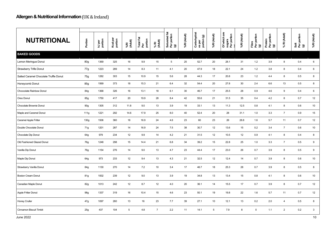| <b>NUTRITIONAL</b>                     | Portion         | kJ per<br>portion | Kcal per<br>portion | %RI<br>(Adult) | Total Fat<br>Per<br>portion | $%$ RI<br>(Adult) | Saturated fat<br>Per portion<br>(g) | %RI (Adult) | Carbohydrat<br>es per<br>portion (g) | %RI (Adult) | Of which are<br>sugars<br>Per portion | %RI (Adult) | Fibre<br>Per portion<br>(g) | Protein<br>Per portion<br>(g) | % RI (Adult)   | Salt<br>Per portion<br>(g) | %RI (Adult) |
|----------------------------------------|-----------------|-------------------|---------------------|----------------|-----------------------------|-------------------|-------------------------------------|-------------|--------------------------------------|-------------|---------------------------------------|-------------|-----------------------------|-------------------------------|----------------|----------------------------|-------------|
| <b>BAKED GOODS</b>                     |                 |                   |                     |                |                             |                   |                                     |             |                                      |             |                                       |             |                             |                               |                |                            |             |
| Lemon Meringue Donut                   | 80 <sub>g</sub> | 1369              | 325                 | 16             | 9.9                         | 15                | 5                                   | 25          | 52.7                                 | 20          | 28.1                                  | 31          | 1.2                         | 3.9                           | 8              | 0.4                        | 6           |
| <b>Strawberry Trifle Donut</b>         | 77g             | 1223              | 289                 | 14             | 8.3                         | 11                | 4.1                                 | 20          | 47.9                                 | 18          | 22.1                                  | 24          | 1.2                         | 3.8                           | 8              | 0.4                        | 6           |
| Salted Caramel Chocolate Truffle Donut | 75g             | 1282              | 303                 | 15             | 10.9                        | 15                | 5.6                                 | 28          | 44.3                                 | 17          | 20.8                                  | 23          | 1.2                         | 4.4                           | 8              | 0.5                        | 8           |
| Honeycomb Donut                        | 85g             | 1569              | 373                 | 18             | 15.3                        | 21                | 6.4                                 | 32          | 54.4                                 | 20          | 27.8                                  | 30          | 2.4                         | 6.6                           | 13             | 0.5                        | 8           |
| Chcocolate Rainbow Donut               | 84g             | 1368              | 326                 | 16             | 13.1                        | 18                | 6.1                                 | 30          | 46.7                                 | 17          | 25.5                                  | 28          | 0.9                         | 4.6                           | 9              | 0.4                        | 6           |
| Oreo Donut                             | 85g             | 1750              | 417                 | 20             | 19.9                        | 28                | 8.4                                 | 42          | 55.6                                 | 21          | 31.5                                  | 35          | 0.4                         | 4.2                           | 8              | 0.7                        | 12          |
| Chocolate Brownie Donut                | 90 <sub>g</sub> | 1305              | 312                 | 11.8           | 9.0                         | 13                | 3.9                                 | 19          | 33.1                                 | 13          | 11.3                                  | 12.5        | 0.8                         | 4.1                           | 8              | 0.6                        | 10          |
| Maple and Caramel Donut                | 111q            | 1221              | 292                 | 14.6           | 17.9                        | 25                | 8.0                                 | 40          | 52.4                                 | 20          | 28                                    | 31.1        | 1.0                         | 3.3                           | $\overline{7}$ | 0.9                        | 15          |
| Caramel Apple Fritter                  | 130g            | 1506              | 360                 | 18             | 16.9                        | 24                | 4.6                                 | 23          | 60                                   | 23          | 26                                    | 28.8        | 1.6                         | 5.7                           | 11             | 0.7                        | 12          |
| Double Chocolate Donut                 | 71g             | 1201              | 287                 | 14             | 16.9                        | 24                | $7.5\,$                             | 38          | 30.7                                 | 12          | 13.6                                  | 15          | 0.2                         | 3.4                           | $\overline{7}$ | 0.6                        | 10          |
| Chocolate Dip Donut                    | 64g             | 979               | 234                 | 12             | 9.9                         | 14                | 4.2                                 | 21          | 31.5                                 | 12          | 10.5                                  | 12          | 0.9                         | 4.1                           | $\,8\,$        | 0.4                        | 8           |
| Old Fashioned Glazed Donut             | 76g             | 1248              | 298                 | 15             | 14.4                        | 21                | 6.8                                 | 34          | 39.2                                 | 15          | 22.8                                  | 25          | $1.0$                       | 3.3                           | $\overline{7}$ | 0.5                        | 9           |
| Vanilla Dip Donut                      | 76g             | 1154              | 276                 | 14             | 9.0                         | 13                | 4.7                                 | 23          | 44.4                                 | 17          | 23.0                                  | 26          | 0.7                         | 3.9                           | 8              | 0.5                        | 9           |
| Maple Dip Donut                        | 64g             | 973               | 233                 | 12             | 9.4                         | 13                | 4.3                                 | 21          | 32.5                                 | 12          | 12.4                                  | 14          | 0.7                         | 3.9                           | 8              | 0.6                        | 10          |
| Strawberry Vanilla Donut               | 84g             | 1130              | 270                 | 14             | 7.2                         | 10                | 3.4                                 | 17          | 46.7                                 | 18          | 25.3                                  | 28          | 0.7                         | 3.9                           | 8              | 0.5                        | 8           |
| <b>Boston Cream Donut</b>              | 81g             | 1002              | 239                 | 12             | 9.0                         | 13                | 3.9                                 | 19          | 34.8                                 | 13          | 13.4                                  | 15          | 0.8                         | 4.1                           | 8              | 0.6                        | 10          |
| Canadian Maple Donut                   | 82g             | 1013              | 242                 | 12             | 8.7                         | 12                | 4.0                                 | 20          | 36.1                                 | 14          | 15.5                                  | 17          | 0.7                         | 3.9                           | 8              | 0.7                        | 12          |
| Apple Fritter Donut                    | 98g             | 1337              | 319                 | 16             | 10.4                        | 15                | 4.6                                 | 23          | 50.1                                 | 19          | 19.8                                  | 22          | 1.6                         | 5.7                           | 11             | 0.7                        | 12          |
| <b>Honey Cruller</b>                   | 47g             | 1097              | 260                 | 13             | 16                          | 23                | 7.7                                 | 39          | 27.1                                 | 10          | 12.1                                  | 13          | 0.2                         | 2.0                           | $\overline{4}$ | 0.5                        | 8           |
| Cinnamon Biscuit Timbit                | 25g             | 437               | 104                 | 5              | 4.8                         | $\overline{7}$    | 2.2                                 | 11          | 14.1                                 | 5           | 7.9                                   | 8           | $\mathbf 0$                 | 1.1                           | $\overline{2}$ | 0.2                        | 3           |
| <b>June 2022</b>                       |                 |                   |                     |                |                             |                   |                                     |             |                                      |             |                                       |             |                             |                               |                |                            | 10          |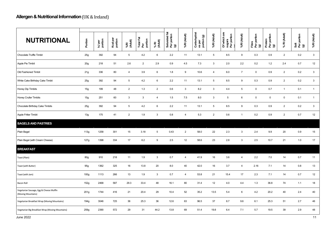| <b>NUTRITIONAL</b>                                            | Portion          | kJ per<br>portion | Kcal per<br>portion | %RI<br>(Adult) | Total Fat<br>Per<br>portion | % RI<br>(Adult) | Saturated fat<br>Per portion<br>(g) | %RI (Adult)    | Carbohydrat<br>es per<br>portion (g) | %RI (Adult)    | Of which are<br>sugars<br>Per portion | %RI (Adult)    | Fibre<br>Per portion<br>$\textcircled{\scriptsize{s}}$ | Protein<br>Per portion<br>(g) | % RI (Adult)   | Salt<br>Per portion<br>(g) | %RI (Adult)    |
|---------------------------------------------------------------|------------------|-------------------|---------------------|----------------|-----------------------------|-----------------|-------------------------------------|----------------|--------------------------------------|----------------|---------------------------------------|----------------|--------------------------------------------------------|-------------------------------|----------------|----------------------------|----------------|
| Chocolate Truffle Timbit                                      | 25g              | 392               | 94                  | 5              | 4.2                         | 6               | 2.2                                 | 11             | 13.1                                 | 5              | 8.5                                   | 9              | 0.3                                                    | 0.9                           | $\overline{2}$ | 0.2                        | $\mathbf{3}$   |
| Apple Pie Timbit                                              | 20g              | 218               | 51                  | 2.6            | $\overline{2}$              | 2.9             | 0.9                                 | 4.5            | 7.3                                  | 3              | 2.0                                   | 2.2            | 0.2                                                    | 1.2                           | 2.4            | 0.7                        | 12             |
| Old Fashioned Timbit                                          | 21g              | 336               | 80                  | $\overline{4}$ | 3.9                         | 6               | 1.8                                 | 9              | 10.6                                 | 4              | 6.0                                   | $\overline{7}$ | $\mathbf 0$                                            | 0.9                           | $\overline{2}$ | 0.2                        | $\mathbf{3}$   |
| White Cake Birthday Cake Timbit                               | 25g              | 392               | 94                  | 5              | 4.2                         | 6               | 2.2                                 | 11             | 13.1                                 | 5              | 8.5                                   | 9              | 0.3                                                    | 0.9                           | $\overline{2}$ | 0.2                        | $\mathbf{3}$   |
| Honey Dip Timbits                                             | 15 <sub>g</sub>  | 199               | 48                  | $\overline{2}$ | 1.3                         | $\overline{2}$  | 0.6                                 | $\mathbf{3}$   | 8.2                                  | $\mathbf{3}$   | 4.4                                   | 5              | 0                                                      | 0.7                           | $\mathbf{1}$   | 0.1                        | $\overline{1}$ |
| <b>Honey Cruller Timbits</b>                                  | 15g              | 251               | 60                  | 3              | $\mathbf{3}$                | $\overline{4}$  | 1.5                                 | 7.5            | 8.0                                  | $\mathbf{3}$   | $5\phantom{.0}$                       | 6              | 0                                                      | $\mathsf 0$                   | $\mathsf 0$    | 0.1                        | $\mathbf{1}$   |
| Chocolate Birthday Cake Timbits                               | 25g              | 392               | 94                  | 5              | 4.2                         | 6               | 2.2                                 | 11             | 13.1                                 | 5              | 8.5                                   | 9              | 0.3                                                    | 0.9                           | $\overline{2}$ | 0.2                        | $\mathbf{3}$   |
| Apple Fritter Timbit                                          | 13g              | 175               | 41                  | $\overline{2}$ | 1.9                         | $\mathbf{3}$    | 0.8                                 | $\overline{4}$ | 5.3                                  | $\overline{2}$ | 0.6                                   | $\overline{1}$ | 0.2                                                    | 0.9                           | $\overline{2}$ | 0.7                        | $12\,$         |
| <b>BAGELS AND PASTRIES</b>                                    |                  |                   |                     |                |                             |                 |                                     |                |                                      |                |                                       |                |                                                        |                               |                |                            |                |
| Plain Bagel                                                   | 113g             | 1258              | 301                 | 15             | 3.18                        | 5               | 0.43                                | $\overline{2}$ | 58.0                                 | 22             | 2.3                                   | 3              | 2.4                                                    | 9.9                           | 20             | 0.9                        | 15             |
| Plain Bagel (with Cream Cheese)                               | 127g             | 1398              | 334                 | 17             | 6.2                         | 9               | 2.5                                 | 12             | 58.6                                 | 23             | 2.8                                   | $\mathbf{3}$   | 2.5                                                    | 10.7                          | 21             | 1.0                        | 17             |
| <b>BREAKFAST</b>                                              |                  |                   |                     |                |                             |                 |                                     |                |                                      |                |                                       |                |                                                        |                               |                |                            |                |
| Toast (Plain)                                                 | <b>80g</b>       | 910               | 218                 | 11             | 1.9                         | $\mathbf{3}$    | 0.7                                 | 4              | 41.9                                 | 16             | 3.6                                   | $\overline{4}$ | 2.2                                                    | 7.0                           | 14             | 0.7                        | 11             |
| Toast (with Butter)                                           | 95g              | 1362              | 325                 | 16             | 13.8                        | 20              | 8.0                                 | 40             | 42.0                                 | 16             | 3.7                                   | 4              | 2.16                                                   | 7.1                           | 14             | 0.8                        | 13             |
| Toast (with Jam)                                              | 100 <sub>g</sub> | 1113              | 266                 | 13             | 1.9                         | 3               | 0.7                                 | $\overline{4}$ | 53.8                                 | 21             | 15.4                                  | 17             | 2.3                                                    | 7.1                           | 14             | 0.7                        | 12             |
| Bacon Roll                                                    | 152g             | 2468              | 587                 | 29.3           | 33.4                        | 48              | 16.1                                | 80             | 31.4                                 | 12             | 4.0                                   | 4.4            | 1.3                                                    | 36.8                          | 74             | 1.1                        | 18             |
| Vegetarian Sausage, Egg & Cheese Muffin<br>(Moving Mountains) | 201 <sub>g</sub> | 1744              | 416                 | 21             | 20.4                        | 29              | 10.4                                | 52             | 35.2                                 | 13.5           | 5.4                                   | 6              | 4.2                                                    | 20.2                          | 40             | 2.4                        | 40             |
| Vegetarian Breakfast Wrap (Moving Mountains)                  | 194g             | 3046              | 725                 | 36             | 25.3                        | 36              | 12.6                                | 63             | 96.5                                 | 37             | 8.7                                   | 9.6            | 6.1                                                    | 25.3                          | 51             | 2.7                        | 46             |
| Vegetarian Big Breakfast Wrap (Moving Mountains)              | 259g             | 2390              | 572                 | 29             | 31                          | 44.2            | 13.8                                | 69             | 51.4                                 | 19.8           | 6.4                                   | 7.1            | 5.7                                                    | 19.5                          | 39             | 2.9                        | 48             |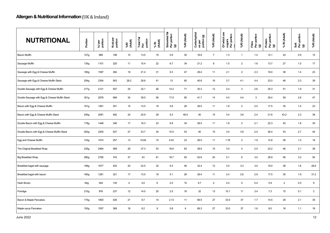| <b>NUTRITIONAL</b>                            | Portion          | kJ per<br>portion | Kcal per<br>portion | %RI<br>(Adult) | Total Fat<br>Per<br>portion | % RI<br>(Adult) | j.<br>Saturated fat<br>Per portion<br>(g) | %RI (Adult)    | Carbohydrat<br>es per<br>portion (g) | %RI (Adult)    | Of which are<br>sugars<br>Per portion | %RI (Adult)    | Fibre<br>Per portion<br>(g) | Protein<br>Per portion<br>(g) | % RI (Adult)   | Salt<br>Per portion<br>(g) | %RI (Adult)    |
|-----------------------------------------------|------------------|-------------------|---------------------|----------------|-----------------------------|-----------------|-------------------------------------------|----------------|--------------------------------------|----------------|---------------------------------------|----------------|-----------------------------|-------------------------------|----------------|----------------------------|----------------|
| <b>Bacon Muffin</b>                           | 127g             | 969               | 198                 | 10             | 13.5                        | 19              | 5.9                                       | 30             | 18.6                                 | $\overline{7}$ | 1.3                                   | $\overline{1}$ | 1.4                         | 12.1                          | 24             | 0.9                        | 15             |
| Sausage Muffin                                | 135g             | 1101              | 225                 | 11             | 15.4                        | 22              | 6.7                                       | 34             | 21.2                                 | 8              | 1.5                                   | $\overline{2}$ | 1.6                         | 13.7                          | 27             | 1.0                        | 17             |
| Sausage with Egg & Cheese Muffin              | 180g             | 1597              | 382                 | 19             | 21.4                        | 31              | 9.3                                       | 47             | 29.4                                 | 11             | 2.1                                   | $\overline{2}$ | 2.3                         | 19.0                          | 38             | 1.4                        | 23             |
| Sausage with Egg & Cheese Muffin Stack        | 254g             | 2354              | 563                 | 28.2           | 28.8                        | 41              | 13                                        | 65             | 40.8                                 | 16             | 3.7                                   | 4.1            | 4.4                         | 23.0                          | 46             | 2.3                        | 39             |
| Double Sausage with Egg & Cheese Muffin       | 217g             | 2121              | 507                 | 25             | 32.1                        | 46              | 14.2                                      | 71             | 30.3                                 | 12             | 2.4                                   | $\mathbf{3}$   | 2.6                         | 25.3                          | 51             | 1.9                        | 31             |
| Double Sausage with Egg & Cheese Muffin Stack | 301g             | 2878              | 688                 | 34             | 39.5                        | 56              | 17.9                                      | 90             | 41.7                                 | 14             | 4.0                                   | 4.4            | $\mathbf{3}$                | 29.4                          | 59             | 2.8                        | 47             |
| Bacon with Egg & Cheese Muffin                | 161g             | 1261              | 301                 | 15             | 13.5                        | 19              | 5.6                                       | 28             | 28.5                                 | 11             | 1.8                                   | $\overline{2}$ | 2.0                         | 17.5                          | 35             | 1.4                        | 23             |
| Bacon with Egg & Cheese Muffin Stack          | 245g             | 2081              | 482                 | 24             | 20.9                        | 29              | 9.3                                       | 46.5           | 40                                   | 15             | 3.4                                   | 3.8            | 2.4                         | 21.6                          | 43.2           | 2.3                        | 38             |
| Double Bacon with Egg & Cheese Muffin         | 179g             | 1448              | 346                 | 17             | 16.3                        | 23              | 6.8                                       | 34             | 28.5                                 | 11             | 1.8                                   | $\overline{2}$ | 2.1                         | 22.3                          | 45             | 1.8                        | 30             |
| Double Bacon with Egg & Cheese Muffin Stack   | 263g             | 2205              | 527                 | 27             | 23.7                        | 34              | 10.5                                      | 53             | 40                                   | 15             | 3.4                                   | 3.8            | 2.5                         | 26.4                          | 53             | 2.7                        | 44             |
| Egg and Cheese Muffin                         | 143g             | 1074              | 257                 | 13             | 10.64                       | 15              | 4.53                                      | 23             | 28.5                                 | 11             | 1.76                                  | $\overline{2}$ | 1.9                         | 12.8                          | 26             | 1.0                        | 16             |
| The Original Breakfast Wrap                   | 235g             | 2464              | 589                 | 29             | 37.3                        | 53              | 16.6                                      | 83             | 38.9                                 | 15             | 3.4                                   | $\overline{4}$ | 2.5                         | 23.2                          | 46             | 2.1                        | 36             |
| <b>Big Breakfast Wrap</b>                     | 280g             | 2785              | 743                 | 37             | 43                          | 61              | 18.7                                      | 93             | 52.6                                 | 20             | 5.1                                   | 6              | 3.0                         | 28.9                          | 56             | 3.2                        | 50             |
| Breakfast bagel with sausage                  | 189g             | 1677              | 402                 | 20             | 22.5                        | 32              | 9.3                                       | 46             | 32.4                                 | 12             | 3.0                                   | 3.3            | 3.0                         | 19.0                          | 38             | 1.6                        | 26.8           |
| Breakfast bagel with bacon                    | 160 <sub>g</sub> | 1281              | 321                 | 17             | 13.5                        | 19              | 5.1                                       | 26             | 29.4                                 | 11             | 2.4                                   | 2.6            | 2.9                         | 17.5                          | 35             | 1.9                        | 31.2           |
| Hash Brown                                    | 64g              | 544               | 130                 | $\overline{4}$ | 4.0                         | 6               | 2.0                                       | 10             | 9.7                                  | $\overline{4}$ | 0.4                                   | 0              | 0.4                         | 0.9                           | $\overline{2}$ | 0.5                        | $9\,$          |
| Porridge                                      | 210g             | 976               | 237                 | 12             | 14.5                        | 20              | 2.5                                       | 16             | 32                                   | 13             | 10.1                                  | 11             | 3.4                         | 7.3                           | 15             | 0.1                        | $\overline{2}$ |
| Bacon & Maple Pancakes                        | 175g             | 1800              | 426                 | 21             | 9.7                         | 14              | 2.13                                      | 11             | 69.5                                 | 27             | 33.0                                  | 37             | 1.7                         | 14.5                          | 29             | 2.1                        | 35             |
| Maple syrup Pancakes                          | 150g             | 1557              | 368                 | 18             | 6.2                         | 9               | $0.8\,$                                   | $\overline{4}$ | 69.3                                 | 27             | 33.0                                  | 37             | 1.6                         | 8.0                           | 16             | 1.1                        | 18             |
|                                               |                  |                   |                     |                |                             |                 |                                           |                |                                      |                |                                       |                |                             |                               |                |                            |                |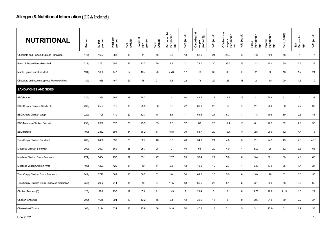| <b>NUTRITIONAL</b>                            | Portion          | kJ per<br>portion | Kcal per<br>portion | %RI<br>(Adult) | Total Fat<br>Per<br>portion | % RI<br>(Adult) | t<br>Saturated fat<br>Per portion<br>(g) | %RI (Adult)    | Carbohydrat<br>es per<br>portion (g) | %RI (Adult) | Of which are<br>sugars<br>Per portion | %RI (Adult)     | Fibre<br>Per portion<br>$\widehat{\mathbf{G}}$ | Protein<br>Per portion<br>(g) | % RI (Adult) | Salt<br>Per portion<br>(g) | %RI (Adult) |
|-----------------------------------------------|------------------|-------------------|---------------------|----------------|-----------------------------|-----------------|------------------------------------------|----------------|--------------------------------------|-------------|---------------------------------------|-----------------|------------------------------------------------|-------------------------------|--------------|----------------------------|-------------|
| Chocolate and Hazlenut Spread Pancakes        | 145g             | 1637              | 388                 | 19             | 11                          | 16              | 2.5                                      | 13             | 62.6                                 | 24          | 26.0                                  | 10              | 1.6                                            | 9.0                           | 18           | $\overline{1}$             | 17          |
| Bacon & Maple Pancakes Meal                   | 219g             | 2131              | 505                 | 25             | 13.7                        | 20              | 4.1                                      | 21             | 79.0                                 | 30          | 33.5                                  | 13              | 2.2                                            | 15.4                          | 30           | 2.6                        | 28          |
| Maple Syrup Pancakes Meal                     | 194g             | 1888              | 447                 | 22             | 13.7                        | 20              | 2.76                                     | 17             | 78                                   | 30          | 33                                    | 13              | $\overline{2}$                                 | 9                             | 18           | 1.7                        | 21          |
| Chocolate and hazelnut spread Pancakes Meal   | 189g             | 1968              | 467                 | 23             | 15                          | 21              | 4.5                                      | 22             | 73                                   | 29          | 26                                    | 18              | $\overline{2}$                                 | 10                            | 20           | 1.5                        | 19          |
| <b>SANDWICHES AND SIDES</b>                   |                  |                   |                     |                |                             |                 |                                          |                |                                      |             |                                       |                 |                                                |                               |              |                            |             |
| <b>BBQ Burger</b>                             | 220g             | 2334              | 566                 | 28             | 28.7                        | 41              | 12.1                                     | 60             | 48.5                                 | 18          | 11.7                                  | 13              | 2.1                                            | 25.6                          | 51           | $\overline{2}$             | 33          |
| <b>BBQ Crispcy Chicken Sandwich</b>           | 230g             | 2507              | 615                 | 30             | 25.3                        | 36              | 8.5                                      | 42             | 66.8                                 | 26          | 12                                    | 13              | 2.1                                            | 28.2                          | 56           | 2.2                        | 37          |
| <b>BBQ Crispy Chicken Wrap</b>                | 220g             | 1728              | 410                 | 20             | 12.7                        | 18              | 3.4                                      | 17             | 54.6                                 | 21          | 6.3                                   | $\overline{7}$  | 1.8                                            | 19.8                          | 39           | 2.5                        | 41          |
| <b>BBQ Meatless Chicken Sandwich</b>          | 230g             | 2388              | 578                 | 28             | 23.5                        | 33              | 7.5                                      | 37             | 60                                   | 23          | 12.4                                  | 13              | 6.1                                            | 26.9                          | 52           | 2.1                        | 35          |
| <b>BBQ Hotdog</b>                             | 190 <sub>g</sub> | 2862              | 691                 | 34             | 36.2                        | 51              | 15.8                                     | 79             | 53.7                                 | 20          | 13.4                                  | 14              | 2.5                                            | 26.9                          | 52           | 4.4                        | 73          |
| Tims Crispy Chicken Sandwich                  | 200 <sub>g</sub> | 2466              | 590                 | 29             | 32.7                        | 46              | 8.0                                      | 40             | 54.3                                 | 21          | 4.6                                   | $\,$ 5 $\,$     | 2.1                                            | 24.9                          | 49           | 2.8                        | 45.8        |
| Meatless Chicken Sandwich                     | 200 <sub>g</sub> | 2697              | 569                 | 28             | 25.7                        | 28              | $\boldsymbol{9}$                         | 45             | 54                                   | 20          | 4.0                                   | $\overline{4}$  | 3.00                                           | 26                            | 52           | 3.3                        | 55          |
| Meatless Chicken Stack Sandwich               | 274g             | 3454              | 750                 | 37             | 33.1                        | 47              | 12.7                                     | 63             | 55.4                                 | 21          | 5.6                                   | 6               | 3.4                                            | 30.1                          | 60           | 4.1                        | 68          |
| Meatless Vegan Chicken Wrap                   | 190g             | 1223              | 420                 | 21             | 10                          | 14              | 2.5                                      | 12             | 45.6                                 | 19          | 2.7                                   | $\overline{4}$  | 2.49                                           | 17.6                          | 35           | 1.4                        | 24          |
| Tims Crispy Chicken Stack Sandwich            | 244g             | 2797              | 669                 | 33             | 36.7                        | 52              | 10                                       | 50             | 64.0                                 | 25          | 5.0                                   | 6               | 3.0                                            | 26                            | 52           | 3.3                        | 55          |
| Tims Crispy Chicken Stack Sandwich with bacon | 253g             | 2982              | 714                 | 35             | 40                          | 57              | 11.5                                     | 58             | 65.5                                 | 25          | 5.1                                   | $5\phantom{.0}$ | 3.1                                            | 29.0                          | 58           | 3.6                        | 60          |
| Chicken Tenders (3)                           | 120g             | 995               | 236                 | 12             | 7.9                         | 11              | 1.43                                     | $\overline{7}$ | 21.4                                 | 8           | $\mathbf 0$                           | $\mathbf 0$     | 1.56                                           | 20.8                          | 41.5         | 1.3                        | 22          |
| Chicken tenders (5)                           | 200 <sub>g</sub> | 1658              | 394                 | 19             | 13.2                        | 18              | 2.4                                      | 12             | 35.6                                 | 13          | $\mathsf{O}$                          | 0               | 2.6                                            | 34.6                          | 69           | 2.2                        | 37          |
| <b>Cheese Melt Toastie</b>                    | 166g             | 2194              | 524                 | 26             | 25.8                        | 36              | 14.8                                     | 74             | 47.3                                 | 18          | 5.1                                   | 5               | 3.1                                            | 25.9                          | 51           | 1.9                        | 33          |
|                                               |                  |                   |                     |                |                             |                 |                                          |                |                                      |             |                                       |                 |                                                |                               |              |                            |             |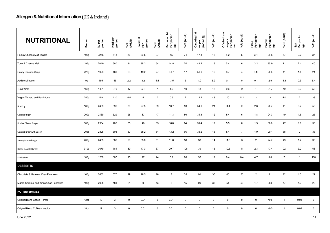| <b>NUTRITIONAL</b>                     | Portion          | kJ per<br>portion | Kcal per<br>portion | %RI<br>(Adult) | Total Fat<br>Per<br>portion | % RI<br>(Adult) | Saturated fat<br>Per portion<br>(g) | %RI (Adult)     | Carbohydrat<br>es per<br>portion (g) | %RI (Adult) | Of which are<br>sugars<br>Per portion | %RI (Adult)    | Fibre<br>Per portion<br>(g) | Protein<br>Per portion<br>(g) | % RI (Adult)   | Salt<br>Per portion<br>(g) | %RI (Adult) |
|----------------------------------------|------------------|-------------------|---------------------|----------------|-----------------------------|-----------------|-------------------------------------|-----------------|--------------------------------------|-------------|---------------------------------------|----------------|-----------------------------|-------------------------------|----------------|----------------------------|-------------|
| Ham & Cheese Melt Toastie              | 190q             | 2275              | 543                 | 26             | 26.5                        | 37              | 15                                  | 74              | 47.4                                 | 18          | 5.2                                   | 5              | 3.1                         | 28.8                          | 57             | 2.2                        | 37          |
| Tuna & Cheese Melt                     | 195g             | 2840              | 680                 | 34             | 38.2                        | 54              | 14.8                                | 74              | 48.2                                 | 18          | 5.4                                   | 6              | 3.2                         | 35.9                          | 71             | 2.4                        | 40          |
| Crispy Chicken Wrap                    | 228g             | 1923              | 460                 | 23             | 19.2                        | 27              | 3.47                                | 17              | 50.6                                 | 19          | 3.7                                   | $\overline{4}$ | 2.49                        | 20.6                          | 41             | 1.4                        | 24          |
| Additional bacon                       | 9g               | 185               | 45                  | 2.2            | 3.2                         | 4.5             | 1.15                                | $5\phantom{.0}$ | 1.2                                  | 5.9         | 0.1                                   | $\mathbf 0$    | 0.1                         | 2.9                           | 5.8            | 0.3                        | 5.4         |
| Tuna Wrap                              | 165g             | 1431              | 340                 | 17             | 5.1                         | $\overline{7}$  | 1.9                                 | 10 <sup>1</sup> | 48                                   | 18          | 9.6                                   | 11             | $\overline{1}$              | 24.7                          | 49             | 3.2                        | 53          |
| Vegan Tomato and Basil Soup            | 250g             | 458               | 110                 | 5.5            | $5\phantom{.0}$             | $\overline{7}$  | 0.5                                 | $\overline{2}$  | 12.5                                 | 4.8         | 10                                    | 11.1           | 2                           | $\overline{2}$                | 4.0            | $\overline{2}$             | 33          |
| Hot Dog                                | 180g             | 2469              | 596                 | 30             | 27.5                        | 39              | 10.7                                | 53              | 54.6                                 | 21          | 14.4                                  | 16             | 2.8                         | 20.7                          | 41             | 3.2                        | 58          |
| <b>Classic Burger</b>                  | 200 <sub>g</sub> | 2169              | 529                 | 26             | 33                          | 47              | 11.3                                | 56              | 31.3                                 | 12          | 5.4                                   | 6              | 1.8                         | 24.3                          | 49             | 1.5                        | 25          |
| Double Classic Burger                  | 300q             | 2904              | 705                 | 35             | 46                          | 65              | 16.8                                | 84              | 31.4                                 | 12          | 5.5                                   | 6              | 1.9                         | 38.6                          | 77             | 1.9                        | 33          |
| Classic Burger with Bacon              | 205g             | 2328              | 603                 | 30             | 38.2                        | 54              | 13.2                                | 66              | 33.2                                 | 13          | 5.4                                   | $\overline{7}$ | 1.9                         | 29.1                          | 58             | $\overline{2}$             | 33          |
| Smoky Maple Burger                     | 200 <sub>g</sub> | 2405              | 586                 | 29             | 35.8                        | 51              | 11.6                                | 58              | 38                                   | 14          | 11.3                                  | 12             | 2                           | 24.7                          | 49             | 1.7                        | 35          |
| Bacon Double Burger                    | 310g             | 3079              | 781                 | 39             | 47.3                        | 67              | 20.7                                | 108             | 39                                   | 15          | 10.5                                  | 11             | 2.3                         | 47.4                          | 92             | 3.2                        | 58          |
| Lattice fries                          | 100 <sub>g</sub> | 1289              | 307                 | 15             | 17                          | 24              | 5.2                                 | 26              | 32                                   | 12          | 0.4                                   | 0.4            | 4.7                         | 3.8                           | $\overline{7}$ | $\overline{1}$             | 16ß         |
| <b>DESSERTS</b>                        |                  |                   |                     |                |                             |                 |                                     |                 |                                      |             |                                       |                |                             |                               |                |                            |             |
| Chocolate & Hazelnut Oreo Pancakes     | 160 <sub>g</sub> | 2432              | 577                 | 29             | 18.5                        | 26              | $\overline{7}$                      | 35              | 91                                   | 35          | 45                                    | 50             | $\overline{2}$              | 11                            | 22             | 1.3                        | 22          |
| Maple, Caramel and White Choc Pancakes | 190g             | 2035              | 481                 | 24             | 9                           | 13              | $\mathbf{3}$                        | 15              | 90                                   | 35          | 51                                    | 50             | 1.7                         | 8.3                           | 17             | 1.2                        | 20          |
| <b>HOT BEVERAGES</b>                   |                  |                   |                     |                |                             |                 |                                     |                 |                                      |             |                                       |                |                             |                               |                |                            |             |
| Original Blend Coffee - small          | 12oz             | 12                | 3                   | 0              | 0.01                        | $\mathbf 0$     | 0.01                                | $\mathbf 0$     | $\mathbf 0$                          | $\mathbf 0$ | $\mathbf 0$                           | 0              | $\mathbf 0$                 | < 0.5                         | $\mathbf{1}$   | 0.01                       | $\mathbf 0$ |
| Original Blend Coffee - medium         | 18oz             | 12                | 3                   | $\mathbf 0$    | 0.01                        | $\mathbf 0$     | 0.01                                | $\mathsf 0$     | $\mathbf 0$                          | $\mathbf 0$ | $\mathbf 0$                           | $\mathbf 0$    | $\mathsf 0$                 | < 0.5                         | $\mathbf{1}$   | 0.01                       | $\mathsf 0$ |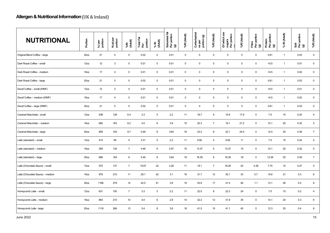| <b>NUTRITIONAL</b>               | Portion          | kJ per<br>portion | Kcal per<br>portion | %RI<br>(Adult)  | Total Fat<br>Per<br>portion | % RI<br>(Adult)     | Ϊä,<br>Saturated fat<br>Per portion<br>(g) | %RI (Adult) | Carbohydrat<br>es per<br>portion (g) | %RI (Adult)    | Of which are<br>sugars<br>Per portion | %RI (Adult) | Fibre<br>Per portion<br>(g) | Protein<br>Per portion<br>(g) | % RI (Adult) | Salt<br>Per portion<br>(g) | %RI (Adult)         |
|----------------------------------|------------------|-------------------|---------------------|-----------------|-----------------------------|---------------------|--------------------------------------------|-------------|--------------------------------------|----------------|---------------------------------------|-------------|-----------------------------|-------------------------------|--------------|----------------------------|---------------------|
| Original Blend Coffee - large    | 20 <sub>oz</sub> | 21                | $5\phantom{.0}$     | $\mathbf 0$     | 0.02                        | $\mathbf 0$         | 0.01                                       | $\mathbf 0$ | $\mathbf 0$                          | $\mathbf 0$    | $\mathsf{O}\phantom{0}$               | $\mathsf 0$ | $\mathbf 0$                 | 0.61                          | $\mathbf{1}$ | 0.03                       | $\mathsf 0$         |
| Dark Roast Coffee - small        | 12oz             | 12                | 3                   | $\mathbf 0$     | 0.01                        | $\mathbf 0$         | 0.01                                       | $\mathbf 0$ | $\mathbf 0$                          | $\mathbf 0$    | 0                                     | $\mathbf 0$ | $\overline{0}$              | < 0.5                         | $\mathbf{1}$ | 0.01                       | $\mathbf 0$         |
| Dark Roast Coffee - medium       | 16oz             | 17                | $\overline{4}$      | $\mathbf 0$     | 0.01                        | $\mathbf 0$         | 0.01                                       | $\mathsf 0$ | $\mathbf 0$                          | $\mathbf 0$    | 0                                     | $\mathbf 0$ | $\mathbf 0$                 | < 0.5                         | $\mathbf{1}$ | 0.02                       | $\mathbf 0$         |
| Dark Roast Coffee - large        | 20 <sub>oz</sub> | 21                | 5                   | $\mathbf 0$     | 0.02                        | $\mathbf 0$         | 0.01                                       | $\mathbf 0$ | $\mathbf 0$                          | $\mathbf 0$    | 0                                     | $\mathbf 0$ | $\mathbf 0$                 | 0.61                          | $\mathbf{1}$ | 0.03                       | $\mathbf 0$         |
| Decaf Coffee - small (WMF)       | 12oz             | 12                | $\mathbf{3}$        | $\mathbf 0$     | 0.01                        | $\mathsf{O}\xspace$ | 0.01                                       | $\mathsf 0$ | $\mathbf 0$                          | $\mathbf 0$    | $\mathbf 0$                           | $\mathbf 0$ | $\mathsf 0$                 | < 0.5                         | $\mathbf{1}$ | 0.01                       | $\mathsf{O}\xspace$ |
| Decaf Coffee - medium (WMF)      | 16oz             | 17                | $\sqrt{4}$          | $\mathbf 0$     | 0.01                        | $\mathbf 0$         | 0.01                                       | $\mathbf 0$ | $\mathbf 0$                          | $\mathsf 0$    | $\mathbf 0$                           | $\mathbf 0$ | $\mathbf 0$                 | < 0.5                         | $\mathbf{1}$ | 0.02                       | $\mathbf 0$         |
| Decaf Coffee - large (WMF)       | 20 <sub>oz</sub> | 21                | 5                   | $\mathbf 0$     | 0.02                        | $\mathbf 0$         | 0.01                                       | $\mathbf 0$ | $\mathbf 0$                          | $\mathbf 0$    | 0                                     | $\mathbf 0$ | $\mathbf 0$                 | 0.61                          | $\mathbf{1}$ | 0.03                       | $\mathbf{0}$        |
| Caramel Macchiato - small        | 12oz             | 538               | 128                 | 6.4             | 3.3                         | $5\phantom{.0}$     | 2.2                                        | 11          | 16.7                                 | 6              | 15.9                                  | 17.6        | $\mathbf 0$                 | 7.5                           | 15           | 0.24                       | $\overline{4}$      |
| Caramel Macchiato - medium       | 16oz             | 682               | 163                 | 8.2             | 4.5                         | 6                   | 3.9                                        | 15          | 20.3                                 | $\overline{7}$ | 19.1                                  | 21.2        | $\mathsf 0$                 | 10.1                          | 20           | 0.32                       | $\,$ 5 $\,$         |
| Caramel Macchiato - large        | 20 <sub>oz</sub> | 809               | 193                 | 9.7             | 5.46                        | 8                   | 3.64                                       | 18          | 23.2                                 | 8              | 22.1                                  | 24.5        | $\mathsf 0$                 | 12.4                          | 25           | 0.39                       | $\overline{7}$      |
| Latte (standard) - small         | 12oz             | 415               | 99                  | $5\overline{)}$ | 3.31                        | 5                   | 2.2                                        | 11          | 9.92                                 | $\overline{4}$ | 9.92                                  | 11          | $\mathbf 0$                 | 7.5                           | 15           | 0.24                       | $\overline{4}$      |
| Latte (standard) - medium        | 16oz             | 559               | 134                 | $\overline{7}$  | 4.46                        | $6\phantom{.0}$     | 2.97                                       | 15          | 13.37                                | 5              | 13.37                                 | 15          | $\mathsf 0$                 | 10.1                          | 20           | 0.32                       | $5\phantom{.0}$     |
| Latte (standard) - large         | 20 <sub>oz</sub> | 686               | 164                 | 8               | 5.46                        | 8                   | 3.64                                       | 18          | 16.39                                | 6              | 16.39                                 | 18          | $\mathbf 0$                 | 12.38                         | 25           | 0.39                       | $\overline{7}$      |
| Latte (Chocolate Sauce) - small  | 12oz             | 575               | 137                 | $\overline{7}$  | 15.67                       | 22                  | 2.28                                       | 11          | 19.1                                 | $\overline{7}$ | 18.26                                 | 20          | 0.38                        | 7.74                          | 15           | 0.27                       | $5\overline{)}$     |
| Latte (Chocolate Sauce) - medium | 16oz             | 879               | 210                 | 11              | 29.1                        | 42                  | 3.1                                        | 16          | 31.7                                 | 12             | 30.1                                  | 33          | 0.7                         | 10.6                          | 21           | 0.3                        | $6\overline{6}$     |
| Latte (Chocolate Sauce) - large  | 20 <sub>oz</sub> | 1166              | 279                 | 14              | 42.5                        | 61                  | 3.8                                        | 19          | 43.9                                 | 17             | 41.4                                  | 46          | 1.1                         | 13.1                          | 26           | 0.4                        | 8                   |
| Honeycomb Latte - small          | 12oz             | 631               | 150                 | $\overline{7}$  | 3.3                         | $5\phantom{.0}$     | 2.2                                        | 11          | 22.5                                 | 8              | 22.3                                  | 24          | $\mathbf 0$                 | 7.5                           | 15           | 0.2                        | $\overline{4}$      |
| Honeycomb Latte - medium         | 16oz             | 883               | 210                 | 10              | 4.4                         | 6                   | 2.9                                        | 14          | 32.2                                 | 12             | 31.9                                  | 35          | $\mathbf 0$                 | 10.1                          | 20           | 0.3                        | $6\phantom{.0}$     |
| Honeycomb Latte - large          | 20 <sub>oz</sub> | 1118              | 266                 | 13              | 5.4                         | 8                   | 3.6                                        | 18          | 41.5                                 | 15             | 41.1                                  | 45          | $\mathsf 0$                 | 12.3                          | 25           | 0.4                        | $\boldsymbol{8}$    |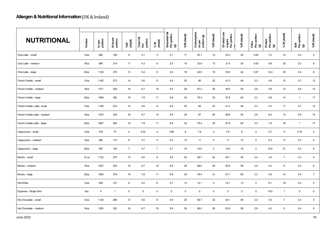| <b>NUTRITIONAL</b>            | Portion          | kJ per<br>portion | Kcal per<br>portion | %RI<br>(Adult) | Total Fat<br>Per<br>portion | % RI<br>(Adult) | Saturated fat<br>Per portion<br>(g) | %RI (Adult) | Carbohydrat<br>es per<br>portion (g) | %RI (Adult)     | Of which are<br>sugars<br>Per portion | %RI (Adult) | Fibre<br>Per portion<br>(g) | Protein<br>Per portion<br>(g) | % RI (Adult)   | Salt<br>Per portion<br>(g) | %RI (Adult)     |
|-------------------------------|------------------|-------------------|---------------------|----------------|-----------------------------|-----------------|-------------------------------------|-------------|--------------------------------------|-----------------|---------------------------------------|-------------|-----------------------------|-------------------------------|----------------|----------------------------|-----------------|
| Chai Latte - small            | 12oz             | 662               | 158                 | 8              | 3.1                         | 5               | 2.1                                 | 11          | 25.1                                 | 10              | 23.3                                  | 26          | 0.04                        | 7.2                           | 14             | 0.2                        | $\overline{4}$  |
| Chai Latte - medium           | 16oz             | 895               | 214                 | 11             | 4.3                         | 6               | 2.8                                 | 14          | 33.8                                 | 13              | 31.4                                  | 35          | 0.05                        | 9.8                           | 20             | 0.3                        | 6               |
| Chai Latte - large            | 20 <sub>oz</sub> | 1128              | 270                 | 13             | 5.4                         | 8               | 3.6                                 | 18          | 42.5                                 | 16              | 39.5                                  | 44          | 0.07                        | 12.4                          | 25             | 0.4                        | 8               |
| French Vanilla - small        | 12oz             | 1142              | 273                 | 14             | 5.6                         | 8               | 4.9                                 | 25          | 56                                   | 22              | 41.3                                  | 46          | 2.3                         | 4.9                           | 10             | 0.7                        | 12              |
| French Vanilla - medium       | 16oz             | 1371              | 328                 | 16             | 6.7                         | 10              | 5.8                                 | 29          | 67.2                                 | 26              | 49.5                                  | 55          | 2.8                         | 5.8                           | 12             | 0.8                        | 14              |
| French Vanilla - large        | 20 <sub>oz</sub> | 1599              | 382                 | 19             | 7.8                         | 11              | 6.8                                 | 34          | 78.4                                 | 30              | 57.8                                  | 64          | 3.3                         | 6.8                           | 14             | $\overline{1}$             | 17              |
| French Vanilla Latte-small    | 12oz             | 1146              | 274                 | 14             | 5.6                         | 8               | 4.9                                 | 25          | 56                                   | 22              | 41.3                                  | 46          | 2.3                         | 5.4                           | 11             | 0.7                        | 12              |
| French Vanilla Latte - medium | 16oz             | 1375              | 329                 | 16             | 6.7                         | 10              | 5.9                                 | 29          | 67                                   | 26              | 49.6                                  | 55          | 2.9                         | 6.4                           | 13             | 0.9                        | 14              |
| French Vanilla Latte - large  | 20 <sub>oz</sub> | 1607              | 384                 | 19             | 7.9                         | 11              | 6.9                                 | 34          | 78.4                                 | 30              | 57.8                                  | 64          | 3.3                         | 7.9                           | 16             | $\mathbf{1}$               | 17              |
| Cappuccino - small            | 12oz             | 316               | 75                  | $\overline{4}$ | 2.52                        | $\overline{4}$  | 1.68                                | 8           | 7.6                                  | 3               | 7.6                                   | 8           | $\mathbf 0$                 | 5.7                           | 11             | 0.18                       | $\mathbf{3}$    |
| Cappuccino - medium           | 16oz             | 460               | 110                 | 6              | 3.7                         | 5               | 2.4                                 | 12          | 11                                   | 4               | 11                                    | 12          | $\mathbf 0$                 | 8.3                           | 17             | 0.3                        | $\overline{4}$  |
| Cappuccino - large            | 20 <sub>oz</sub> | 587               | 140                 | $\overline{7}$ | 4.7                         | $\overline{7}$  | 3.1                                 | 16          | 14.0                                 | $5\phantom{.0}$ | 14.0                                  | 16          | $\mathbf 0$                 | 10.6                          | 21             | 0.3                        | $6\phantom{.0}$ |
| Mocha - small                 | 12 oz            | 1132              | 270                 | 13             | 5.6                         | 8               | 4.9                                 | 25          | 56.7                                 | 22              | 44.1                                  | 49          | 2.4                         | 3.5                           | $\overline{7}$ | 0.3                        | $\sqrt{5}$      |
| Mocha - medium                | 16oz             | 1357              | 324                 | 16             | 6.7                         | 10              | 5.9                                 | 29          | 68.0                                 | 26              | 52.9                                  | 59          | 2.9                         | 4.2                           | $\bf8$         | 0.4                        | $6\phantom{.0}$ |
| Mocha-large                   | 20 <sub>oz</sub> | 1583              | 378                 | 19             | 7.8                         | 11              | 6.9                                 | 34          | 79.4                                 | 31              | 61.7                                  | 69          | 3.3                         | 4.9                           | 10             | 0.4                        | $\overline{7}$  |
| <b>Flat White</b>             | 12oz             | 505               | 121                 | 6              | 4.0                         | 6               | 2.7                                 | 13          | 12.1                                 | 5               | 12.1                                  | 13          | $\mathbf 0$                 | 9.1                           | 18             | 0.3                        | $5\phantom{.0}$ |
| Espresso - Single Shot        | 4oz              | $\overline{4}$    | $\mathbf{1}$        | $\mathbf 0$    | $\mathbf 0$                 | $\mathbf 0$     | $\pmb{0}$                           | $\mathbf 0$ | $\mathbf 0$                          | $\mathbf 0$     | $\mathbf 0$                           | $\mathbf 0$ | $\mathbf 0$                 | < 0.5                         | $\mathbf{1}$   | $\mathbf 0$                | $\mathbf 0$     |
| Hot Chocolate - small         | 12oz             | 1128              | 269                 | 13             | 5.6                         | 8               | 4.9                                 | 25          | 56.7                                 | 22              | 44.1                                  | 49          | 2.4                         | 3.5                           | $\overline{7}$ | 0.3                        | $5\phantom{.0}$ |
| Hot Chocolate - medium        | 16oz             | 1353              | 323                 | 16             | 6.7                         | 10              | 5.9                                 | 29          | 68.0                                 | 26              | 52.9                                  | 59          | 2.9                         | 4.2                           | 8              | 0.4                        | $6\phantom{.}6$ |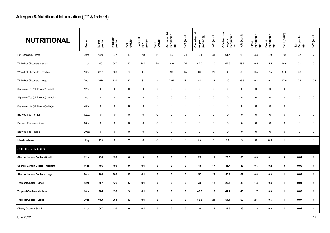| <b>NUTRITIONAL</b>                    | Portion          | kJ per<br>portion   | Kcal per<br>portion | %RI<br>(Adult)      | Total Fat<br>Per<br>portion | % RI<br>(Adult) | Saturated fat<br>Per portion<br>(g) | %RI (Adult) | Carbohydrat<br>es per<br>portion (g) | %RI (Adult)    | Of which are<br>sugars<br>Per portion | %RI (Adult) | Fibre<br>Per portion<br>(g) | Protein<br>Per portion<br>(g) | % RI (Adult)        | Salt<br>Per portion<br>(g) | %RI (Adult)         |
|---------------------------------------|------------------|---------------------|---------------------|---------------------|-----------------------------|-----------------|-------------------------------------|-------------|--------------------------------------|----------------|---------------------------------------|-------------|-----------------------------|-------------------------------|---------------------|----------------------------|---------------------|
| Hot Chocolate - large                 | 20 <sub>oz</sub> | 1579                | 377                 | 19                  | 7.8                         | 11              | 6.9                                 | 34          | 79.4                                 | 31             | 61.7                                  | 69          | 3.3                         | 4.9                           | 10 <sup>1</sup>     | 0.4                        | $\overline{7}$      |
| White Hot Chocolate - small           | 12oz             | 1663                | 397                 | 20                  | 20.5                        | 29              | 14.8                                | 74          | 47.5                                 | 20             | 47.3                                  | 59.7        | 0.5                         | 5.5                           | 10.6                | 0.4                        | 6                   |
| White Hot Chocolate - medium          | 16oz             | 2231                | 533                 | 26                  | 26.4                        | 37              | 19                                  | 95          | 66                                   | 26             | 65                                    | 80          | 0.5                         | 7.5                           | 14.6                | 0.5                        | 8                   |
| White Hot Chocolate - large           | 20 <sub>oz</sub> | 2679                | 639                 | 32                  | 31                          | 44              | 22.5                                | 112         | 80                                   | 33             | 80                                    | 95.5        | 0.8                         | 9.1                           | 17.9                | 0.6                        | 10.3                |
| Signature Tea (all flavours) - small  | 12oz             | $\mathsf{O}\xspace$ | $\pmb{0}$           | $\mathsf{O}\xspace$ | $\mathbf 0$                 | $\mathsf 0$     | $\mathsf 0$                         | $\mathsf 0$ | $\mathbf 0$                          | $\mathsf 0$    | $\mathbf 0$                           | $\mathsf 0$ | $\mathsf 0$                 | $\mathbf 0$                   | $\mathsf{O}\xspace$ | $\mathsf 0$                | $\mathsf{O}\xspace$ |
| Signature Tea (all flavours) - medium | 16oz             | $\mathbf 0$         | $\pmb{0}$           | $\mathbf 0$         | $\mathbf 0$                 | $\mathbf 0$     | $\mathsf 0$                         | $\mathbf 0$ | $\mathbf 0$                          | $\mathsf 0$    | $\mathbf 0$                           | $\mathsf 0$ | $\mathsf 0$                 | $\mathbf 0$                   | $\mathsf 0$         | $\mathsf{O}\xspace$        | $\mathbf 0$         |
| Signature Tea (all flavours) - large  | 20 <sub>oz</sub> | $\mathbf 0$         | $\pmb{0}$           | $\mathbf 0$         | $\mathbf 0$                 | $\mathsf 0$     | $\mathsf 0$                         | $\mathbf 0$ | $\mathbf 0$                          | $\mathsf 0$    | $\mathbf 0$                           | $\mathsf 0$ | $\mathsf 0$                 | $\mathbf 0$                   | $\mathsf 0$         | $\mathbf 0$                | $\mathbf 0$         |
| Brewed Tea - small                    | 12oz             | $\mathbf 0$         | $\pmb{0}$           | $\mathsf 0$         | $\mathbf 0$                 | $\mathbf 0$     | $\mathsf 0$                         | $\mathbf 0$ | $\mathbf 0$                          | $\mathbf 0$    | $\mathbf 0$                           | $\mathsf 0$ | $\mathbf 0$                 | $\pmb{0}$                     | $\mathbf 0$         | $\mathsf{O}\xspace$        | $\mathbf 0$         |
| Brewed Tea - medium                   | 16oz             | $\mathbf 0$         | $\mathbf 0$         | $\mathbf 0$         | $\mathbf 0$                 | $\mathbf 0$     | $\mathbf 0$                         | $\mathbf 0$ | 0                                    | $\mathbf 0$    | $\mathbf 0$                           | $\mathbf 0$ | $\mathbf 0$                 | $\mathbf 0$                   | $\mathbf 0$         | $\mathsf 0$                | $\mathbf 0$         |
| Brewed Tea - large                    | 20 <sub>oz</sub> | 0                   | $\pmb{0}$           | $\mathbf 0$         | $\mathbf 0$                 | $\mathbf 0$     | $\mathbf 0$                         | $\mathbf 0$ | 0                                    | 0              | 0                                     | $\mathbf 0$ | $\mathbf 0$                 | $\mathbf 0$                   | $\mathbf 0$         | $\mathbf 0$                | $\mathbf 0$         |
| <b>Marshmallows</b>                   | 10 <sub>g</sub>  | 139                 | 33                  | $\overline{2}$      | $\pmb{0}$                   | $\mathbf 0$     | $\mathbf 0$                         | $\mathbf 0$ | 7.9                                  | $\overline{1}$ | 6.9                                   | 5           | $\mathbf 0$                 | 0.3                           | $\mathbf{1}$        | $\mathbf 0$                | $\pmb{0}$           |
| <b>COLD BEVERAGES</b>                 |                  |                     |                     |                     |                             |                 |                                     |             |                                      |                |                                       |             |                             |                               |                     |                            |                     |
| Sherbet Lemon Cooler - Small          | 12oz             | 490                 | 120                 | 6                   | 0                           | 0               | $\mathbf 0$                         | 0           | 28                                   | 11             | 27.3                                  | 30          | 0.3                         | 0.1                           | 0                   | 0.04                       | $\mathbf{1}$        |
| Sherbet Lemon Cooler - Medium         | 16oz             | 786                 | 180                 | 9                   | 0.1                         | 0               | $\pmb{0}$                           | $\pmb{0}$   | 43                                   | 17             | 41.7                                  | 46          | 0.5                         | 0.2                           | $\pmb{0}$           | 0.06                       | $\mathbf{1}$        |
| Sherbet Lemon Cooler - Large          | 20 <sub>oz</sub> | 900                 | 260                 | 12                  | 0.1                         | $\mathbf 0$     | $\pmb{0}$                           | $\mathbf 0$ | 57                                   | 22             | 55.4                                  | 62          | 0.8                         | 0.3                           | $\mathbf{1}$        | 0.08                       | $\mathbf{1}$        |
| <b>Tropical Cooler - Small</b>        | 12oz             | 567                 | 136                 | 6                   | 0.1                         | $\mathbf 0$     | $\pmb{0}$                           | $\mathbf 0$ | 30                                   | 12             | 29.3                                  | 33          | 1.3                         | 0.3                           | $\mathbf{1}$        | 0.04                       | $\mathbf{1}$        |
| <b>Tropical Cooler - Medium</b>       | 16oz             | 784                 | 198                 | 9                   | 0.1                         | 0               | $\mathbf 0$                         | $\mathbf 0$ | 42.5                                 | 16             | 41.4                                  | 46          | 1.7                         | 0.3                           | $\overline{1}$      | 0.06                       | $\mathbf{1}$        |
| <b>Tropical Cooler - Large</b>        | 20 <sub>oz</sub> | 1096                | 263                 | 12                  | 0.1                         | 0               | $\mathbf 0$                         | 0           | 55.8                                 | 21             | 54.4                                  | 60          | 2.1                         | 0.5                           | $\mathbf{1}$        | 0.07                       | $\mathbf{1}$        |
| <b>Cherry Cooler - Small</b>          | 12oz             | 567                 | 136                 | 6                   | 0.1                         | $\mathbf 0$     | $\mathbf 0$                         | $\mathbf 0$ | 30                                   | 12             | 29.3                                  | 33          | 1.3                         | 0.3                           | $\mathbf{1}$        | 0.04                       | $\mathbf{1}$        |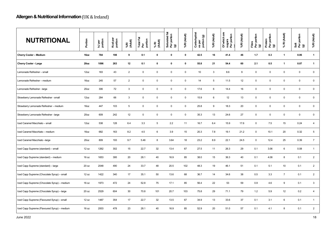| <b>NUTRITIONAL</b>                           | Portion          | kJ per<br>portion | Kcal per<br>portion | %RI<br>(Adult)  | Total Fat<br>Per<br>portion | % RI<br>(Adult) | 起<br>Saturated fat<br>Per portion<br>(g) | %RI (Adult) | Carbohydrat<br>es per<br>portion (g) | %RI (Adult)  | Of which are<br>sugars<br>Per portion | %RI (Adult) | Fibre<br>Per portion<br>(g) | Protein<br>Per portion<br>(g) | % RI (Adult)        | Salt<br>Per portion<br>(g) | %RI (Adult)     |
|----------------------------------------------|------------------|-------------------|---------------------|-----------------|-----------------------------|-----------------|------------------------------------------|-------------|--------------------------------------|--------------|---------------------------------------|-------------|-----------------------------|-------------------------------|---------------------|----------------------------|-----------------|
| Cherry Cooler - Medium                       | 16oz             | 784               | 198                 | 9               | 0.1                         | $\mathbf 0$     | $\mathbf 0$                              | $\mathbf 0$ | 42.5                                 | 16           | 41.4                                  | 46          | 1.7                         | 0.3                           | $\mathbf{1}$        | 0.06                       | $\mathbf{1}$    |
| <b>Cherry Cooler - Large</b>                 | 20oz             | 1096              | 263                 | 12              | 0.1                         | $\mathbf 0$     | $\mathbf 0$                              | $\mathbf 0$ | 55.8                                 | 21           | 54.4                                  | 60          | 2.1                         | 0.5                           | $\mathbf{1}$        | 0.07                       | $\mathbf{1}$    |
| Lemonade Refresher - small                   | 12oz             | 183               | 43                  | $\overline{2}$  | $\mathsf 0$                 | $\mathbf 0$     | $\mathsf 0$                              | $\mathbf 0$ | 10                                   | $\mathbf{3}$ | 8.6                                   | 9           | $\mathsf 0$                 | $\mathsf 0$                   | $\mathbf 0$         | $\mathbf 0$                | $\mathbf 0$     |
| Lemonade Refresher - medium                  | 16oz             | 245               | 57                  | $\overline{2}$  | $\mathsf 0$                 | $\mathsf 0$     | $\mathsf 0$                              | $\mathbf 0$ | 14                                   | 5            | 11.5                                  | 12          | $\mathsf 0$                 | $\mathsf 0$                   | $\mathbf 0$         | $\mathbf 0$                | $\mathbf 0$     |
| Lemonade Refresher - large                   | 20 <sub>oz</sub> | 306               | 72                  | $\mathbf{3}$    | $\mathsf 0$                 | $\mathsf 0$     | $\mathsf 0$                              | $\mathbf 0$ | 17.6                                 | 6            | 14.4                                  | 16          | $\mathsf 0$                 | $\mathsf 0$                   | $\mathsf 0$         | $\mathbf 0$                | $\mathbf 0$     |
| Strawberry Lemonade Refresher - small        | 12oz             | 284               | 66                  | $\mathbf{3}$    | $\mathbf 0$                 | $\mathbf 0$     | $\mathbf 0$                              | $\mathbf 0$ | 15.9                                 | 6            | 12                                    | 13          | $\mathbf 0$                 | $\mathsf 0$                   | $\mathsf 0$         | $\mathbf 0$                | $\mathbf 0$     |
| Strawberry Lemonade Refresher - medium       | 16oz             | 447               | 103                 | $5\phantom{.0}$ | $\mathbf 0$                 | $\mathbf 0$     | $\mathsf 0$                              | $\mathbf 0$ | 25.8                                 | 9            | 18.3                                  | 20          | $\mathsf 0$                 | $\mathbf 0$                   | $\mathbf 0$         | $\mathbf 0$                | $\mathbf 0$     |
| Strawberry Lemonade Refresher - large        | 20 <sub>oz</sub> | 609               | 242                 | 12              | $\mathbf 0$                 | $\mathsf 0$     | $\mathsf 0$                              | $\mathbf 0$ | 35.3                                 | 13           | 24.6                                  | 27          | $\mathsf 0$                 | $\mathsf 0$                   | $\mathsf{O}\xspace$ | $\mathsf{O}\xspace$        | $\mathbf 0$     |
| Iced Caramel Macchiato - small               | 12oz             | 538               | 128                 | 6.4             | 3.3                         | 5               | 2.2                                      | 11          | 16.7                                 | 6.4          | 15.9                                  | 17.6        | $\mathbf 0$                 | 7.5                           | 15 <sup>15</sup>    | 0.24                       | 4               |
| Iced Caramel Macchiato - medium              | 16oz             | 682               | 163                 | 8.2             | 4.5                         | 6               | 3.9                                      | 15          | 20.3                                 | 7.8          | 19.1                                  | 21.2        | $\mathsf 0$                 | 10.1                          | 20                  | 0.32                       | $5\phantom{.0}$ |
| Iced Caramel Macchiato -large                | 20 <sub>oz</sub> | 809               | 193                 | 9.7             | 5.46                        | 8               | 3.64                                     | 18          | 23.2                                 | 8.9          | 22.1                                  | 24.5        | $\mathsf 0$                 | 12.4                          | 25                  | 0.39                       | $\overline{7}$  |
| Iced Capp Supreme (standard) - small         | 12 oz            | 1262              | 302                 | 15              | 22.7                        | 32              | 13.4                                     | 67          | 27.5                                 | 11           | 26.3                                  | 29          | 0.1                         | 3.06                          | 6                   | 0.08                       | $\mathbf{1}$    |
| Iced Capp Supreme (standard) - medium        | 16 oz            | 1653              | 395                 | 20              | 28.1                        | 40              | 16.9                                     | 85          | 38.0                                 | 15           | 36.3                                  | 40          | 0.1                         | 4.08                          | 8                   | 0.1                        | $\overline{2}$  |
| Iced Capp Supreme (standard) - large         | 20 oz            | 2048              | 490                 | 24              | 33.7                        | 48              | 20.5                                     | 102         | 48.3                                 | 19           | 46.1                                  | 51          | 0.1                         | 5.1                           | 10                  | 0.1                        | $2^{\circ}$     |
| Iced Capp Supreme (Chocolate Syrup) - small  | 12 oz            | 1422              | 340                 | 17              | 35.1                        | 50              | 13.6                                     | 68          | 36.7                                 | 14           | 34.6                                  | 38          | 0.5                         | 3.3                           | $\overline{7}$      | 0.1                        | $\overline{2}$  |
| Iced Capp Supreme (Chocolate Syrup) - medium | 16 oz            | 1973              | 472                 | 24              | 52.8                        | 75              | 17.1                                     | 85          | 56.4                                 | 22           | 53                                    | 59          | 0.9                         | 4.6                           | 9                   | 0.1                        | 3               |
| Iced Capp Supreme (Chocolate Syrup) - large  | 20 oz            | 2529              | 604                 | 30              | 70.8                        | 101             | 20.7                                     | 103         | 75.8                                 | 29           | 71.1                                  | 79          | 1.2                         | 5.9                           | 12                  | 0.2                        | 4               |
| Iced Capp Supreme (Flavoured Syrup) - small  | 12 oz            | 1487              | 354                 | 17              | 22.7                        | 32              | 13.5                                     | 67          | 34.9                                 | 13           | 33.6                                  | 37          | 0.1                         | 3.1                           | 6                   | 0.1                        | $\mathbf{1}$    |
| Iced Capp Supreme (Flavoured Syrup) - medium | 16 oz            | 2003              | 478                 | 23              | 28.1                        | 40              | 16.9                                     | 85          | 52.9                                 | 20           | 51.0                                  | 57          | 0.1                         | 4.1                           | 8                   | 0.1                        | $\overline{2}$  |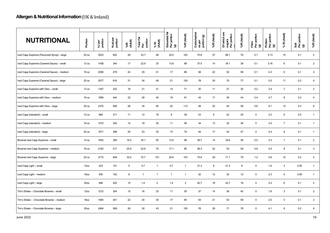| <b>NUTRITIONAL</b>                          | Portion          | kJ per<br>portion | Kcal per<br>portion | %RI<br>(Adult) | Total Fat<br>Per<br>portion | % RI<br>(Adult) | 运<br>Saturated fat<br>Per portion<br>(g) | %RI (Adult)    | Carbohydrat<br>es per<br>portion (g) | %RI (Adult) | Of which are<br>sugars<br>Per portion | %RI (Adult) | Fibre<br>Per portion<br>(g) | Protein<br>Per portion<br>(g) | % RI (Adult)    | Salt<br>Per portion<br>(g) | %RI (Adult)     |
|---------------------------------------------|------------------|-------------------|---------------------|----------------|-----------------------------|-----------------|------------------------------------------|----------------|--------------------------------------|-------------|---------------------------------------|-------------|-----------------------------|-------------------------------|-----------------|----------------------------|-----------------|
| Iced Capp Supreme (Flavoured Syrup) - large | 20 oz            | 2523              | 602                 | 29             | 33.7                        | 48              | 20.5                                     | 102            | 70.6                                 | 27          | 68.1                                  | 76          | 0.1                         | 5.13                          | 10              | 0.1                        | 2               |
| Iced Capp Supreme (Caramel Sauce) - small   | 12 oz            | 1438              | 344                 | 17             | 22.9                        | 33              | 13.6                                     | 68             | 37.5                                 | 14          | 34.1                                  | 38          | 0.1                         | 3.16                          | 6               | 0.1                        | $\overline{2}$  |
| Iced Capp Supreme (Caramel Sauce) - medium  | 16 oz            | 2006              | 479                 | 24             | 29                          | 41              | 17                                       | 86             | 58                                   | 22          | 52                                    | 58          | 0.1                         | 4.3                           | 9               | 0.1                        | $\mathbf{3}$    |
| Iced Capp Supreme (Caramel Sauce) - large   | 20 oz            | 2577              | 616                 | 31             | 34                          | 49              | 21                                       | 105            | 78                                   | 30          | 70                                    | 77          | 0.1                         | 5.5                           | 11              | 0.2                        | $\overline{4}$  |
| Iced Capp Supreme with Oreo - small         | 12 oz            | 1347              | 322                 | 16             | 21                          | 31              | 14                                       | 71             | 30                                   | 11          | 27                                    | 30          | 0.2                         | 3.4                           | $\overline{7}$  | 0.1                        | $\overline{2}$  |
| Iced Capp Supreme with Oreo - medium        | 16 oz            | 1856              | 444                 | 22             | 28                          | 40              | 18                                       | 91             | 44                                   | 17          | 39                                    | 44          | 0.4                         | 4.7                           | 9               | 0.2                        | $\overline{4}$  |
| Iced Capp Supreme with Oreo - large         | 20 oz            | 2370              | 566                 | 28             | 35                          | 50              | 22                                       | 112            | 58                                   | 22          | 52                                    | 58          | 0.6                         | 6.1                           | 12              | 0.3                        | $6\phantom{.0}$ |
| Iced Capp (standard) - small                | 12 oz            | 884               | 211                 | 11             | 12                          | 18              | $\boldsymbol{8}$                         | 39             | 23                                   | 9           | 22                                    | 25          | $\mathsf 0$                 | 2.3                           | $5\phantom{.0}$ | 0.5                        | $\overline{1}$  |
| Iced Capp (standard) - medium               | 16 oz            | 1275              | 305                 | 15             | 18                          | 25              | 11                                       | 56             | 34                                   | 13          | 32                                    | 36          | $\mathsf 0$                 | 3.4                           | $\overline{7}$  | 0.1                        | $\mathbf{1}$    |
| Iced Capp (standard) - large                | 20 oz            | 1671              | 399                 | 20             | 23                          | 33              | 15                                       | 74             | 44                                   | 17          | 42                                    | 47          | $\mathbf 0$                 | 4.4                           | 9               | 0.1                        | $\mathbf{1}$    |
| Brownie Iced Capp Supreme - small           | 12 oz            | 1652              | 385                 | 19.3           | 35.1                        | 50              | 13.5                                     | 68             | 36.7                                 | 14          | 34.6                                  | 38          | 0.5                         | 3.3                           | $\overline{7}$  | 0.1                        | $\overline{2}$  |
| Brownie Iced Capp Supreme - medium          | 16 oz            | 2163              | 517                 | 25.9           | 52.8                        | 75              | 17.1                                     | 85             | 56.3                                 | 22          | 53                                    | 59          | 0.9                         | 4.5                           | $9\,$           | 0.1                        | $\mathbf{3}$    |
| Brownie Iced Capp Supreme - large           | 20 oz            | 2715              | 649                 | 32.5           | 70.7                        | 101             | 20.6                                     | 103            | 75.8                                 | 29          | 71.1                                  | 79          | 1.2                         | 5.8                           | 12              | 0.2                        | $\overline{4}$  |
| Iced Capp Light - small                     | 12oz             | 423               | 101                 | 5              | 0.7                         | $\mathbf{1}$    | 0.7                                      | $\mathbf{1}$   | 21.3                                 | 8           | 21.3                                  | 8           | $\mathbf 0$                 | 1.6                           | $\mathbf{3}$    | 0.05                       | $\mathbf{1}$    |
| Iced Capp Light - medium                    | 16oz             | 635               | 152                 | 8              | $\mathbf{1}$                | $\mathbf{1}$    | $\mathbf{1}$                             | $\overline{1}$ | 32                                   | 12          | 32                                    | 12          | $\mathsf 0$                 | 2.3                           | $\sqrt{5}$      | 0.08                       | $\mathbf{1}$    |
| Iced Capp Light - large                     | 20 <sub>oz</sub> | 846               | 202                 | 10             | 1.4                         | $\overline{2}$  | 1.4                                      | 2              | 42.7                                 | 16          | 42.7                                  | 16          | $\mathbf 0$                 | 3.2                           | $6\phantom{.}6$ | 0.1                        | $\overline{2}$  |
| Tim's Shake - Chocolate Brownie - small     | 12oz             | 1272              | 304                 | 15             | 16                          | 23              | 11                                       | 55             | 37                                   | 14          | 36                                    | 40          | $\mathsf 0$                 | 1.6                           | $\mathbf{3}$    | 0.1                        | $\overline{2}$  |
| Tim's Shake - Chocolate Brownie - medium    | 16oz             | 1845              | 441                 | 22             | 24                          | 34              | 17                                       | 85             | 54                                   | 21          | 53                                    | 59          | $\mathbf 0$                 | 2.5                           | 5               | 0.1                        | $\overline{2}$  |
| Tim's Shake - Chocolate Brownie - large     | 20 <sub>oz</sub> | 2464              | 589                 | 29             | 30                          | 43              | 21                                       | 100            | 76                                   | 29          | 71                                    | 78          | $\mathsf 0$                 | 4.1                           | 8               | 0.2                        | $\overline{4}$  |
|                                             |                  |                   |                     |                |                             |                 |                                          |                |                                      |             |                                       |             |                             |                               |                 |                            |                 |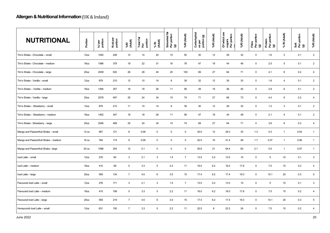| <b>NUTRITIONAL</b>                    | Portion          | kJ per<br>portion | Kcal per<br>portion | %RI<br>(Adult) | Total Fat<br>Per<br>portion | % RI<br>(Adult)     | Ϊä,<br>Saturated fat<br>Per portion<br>(g) | %RI (Adult)    | Carbohydrat<br>es per<br>portion (g) | %RI (Adult) | Of which are<br>sugars<br>Per portion | %RI (Adult) | Fibre<br>Per portion<br>(g) | Protein<br>Per portion<br>(g) | % RI (Adult)    | Salt<br>Per portion<br>(g) | %RI (Adult)     |
|---------------------------------------|------------------|-------------------|---------------------|----------------|-----------------------------|---------------------|--------------------------------------------|----------------|--------------------------------------|-------------|---------------------------------------|-------------|-----------------------------|-------------------------------|-----------------|----------------------------|-----------------|
| Tim's Shake - Chocolate - small       | 12oz             | 1040              | 248                 | 12             | 14                          | 20                  | 10                                         | 50             | 30                                   | 12          | 29                                    | 32          | $\mathsf 0$                 | 1.6                           | $\mathbf{3}$    | 0.1                        | $\overline{2}$  |
| Tim's Shake - Chocolate - medium      | 16 <sub>oz</sub> | 1586              | 379                 | 19             | 22                          | 31                  | 16                                         | 78             | 47                                   | 18          | 44                                    | 48          | $\overline{0}$              | 2.5                           | 5               | 0.1                        | $\overline{2}$  |
| Tim's Shake - Chocolate - large       | 20 <sub>oz</sub> | 2009              | 520                 | 26             | 28                          | 40                  | 20                                         | 100            | 69                                   | 27          | 64                                    | 71          | $\mathbf 0$                 | 4.1                           | 8               | 0.2                        | $\overline{4}$  |
| Tim's Shake - Vanilla - small         | 12oz             | 879               | 210                 | 12             | 10                          | 14                  | 8                                          | 39             | 32                                   | 12          | 30                                    | 33          | $\mathbf 0$                 | 1.8                           | $\overline{4}$  | 0.1                        | $\overline{2}$  |
| Tim's Shake – Vanilla – medium        | 16oz             | 1494              | 357                 | 18             | 18                          | 26                  | 11                                         | 56             | 49                                   | 19          | 46                                    | 40          | $\mathsf 0$                 | 2.8                           | $6\phantom{.}$  | 0.1                        | $\overline{2}$  |
| Tim's Shake - Vanilla - large         | 20 <sub>oz</sub> | 2079              | 497                 | 25             | 24                          | 34                  | 15                                         | 74             | 71                                   | 27          | 66                                    | 73          | $\mathbf 0$                 | 4.4                           | 9               | 0.2                        | $\overline{4}$  |
| Tim's Shake - Strawberry - small      | 12oz             | 879               | 210                 | 11             | 10                          | 14                  | 8                                          | 39             | 30                                   | 12          | 29                                    | 32          | $\overline{0}$              | 1.2                           | 3               | 0.1                        | $\overline{2}$  |
| Tim's Shake - Strawberry - medium     | 16oz             | 1452              | 347                 | 18             | 18                          | 26                  | 11                                         | 56             | 47                                   | 18          | 44                                    | 48          | $\mathbf 0$                 | 2.1                           | $\overline{4}$  | 0.1                        | $\overline{2}$  |
| Tim's Shake - Strawberry - large      | 20 <sub>oz</sub> | 2046              | 489                 | 25             | 24                          | 34                  | 15                                         | 74             | 69                                   | 27          | 64                                    | 71          | $\mathbf 0$                 | 3.8                           | 8               | 0.2                        | $\overline{4}$  |
| Mango and Passionfruit Shake - small  | 12 oz            | 567               | 121                 | 6              | 0.06                        | $\mathsf{O}\xspace$ | $\pmb{0}$                                  | $\mathsf 0$    | 30.0                                 | 12          | 29.3                                  | 33          | 1.3                         | 0.3                           | $\mathbf{1}$    | 0.04                       | $\mathbf{1}$    |
| Mango and Passionfruit Shake - medium | 16 oz            | 784               | 174                 | 9              | 0.08                        | $\mathbf 0$         | $\mathbf 0$                                | $\mathbf 0$    | 42.5                                 | 16          | 41.4                                  | 46          | 1.7                         | 0.37                          | $\mathbf{1}$    | 0.06                       | $\mathbf{1}$    |
| Mango and Passionfruit Shake - large  | 20 oz            | 1096              | 254                 | 12             | 0.1                         | $\pmb{0}$           | $\mathsf 0$                                | $\mathbf 0$    | 55.8                                 | 21          | 54.4                                  | 60          | 2.1                         | 0.5                           | $\mathbf{1}$    | 0.07                       | $\overline{1}$  |
| Iced Latte - small                    | 12oz             | 276               | 65                  | $\mathbf{3}$   | 2.1                         | $\mathbf{3}$        | 1.5                                        | $\overline{7}$ | 13.5                                 | 5.2         | 13.5                                  | 15          | $\mathbf 0$                 | 5                             | 10 <sup>1</sup> | 0.1                        | $\mathbf{3}$    |
| Iced Latte - medium                   | 16oz             | 415               | 99                  | 5              | 3.3                         | $5\phantom{.0}$     | 2.2                                        | 11             | 16.0                                 | 6.2         | 16.0                                  | 17.8        | $\mathbf 0$                 | 7.5                           | 15              | 0.2                        | $\overline{4}$  |
| Iced Latte - large                    | 20 <sub>oz</sub> | 559               | 134                 | $\overline{7}$ | 4.5                         | 6                   | 3.0                                        | 15             | 17.4                                 | 6.2         | 17.4                                  | 19.3        | $\overline{0}$              | 10.1                          | 20              | 0.3                        | $5\overline{)}$ |
| Flavoured Iced Latte - small          | 12oz             | 276               | 171                 | 3              | 2.1                         | $\mathbf{3}$        | 1.5                                        | $\overline{7}$ | 13.5                                 | 5.2         | 13.5                                  | 15          | $\mathbf 0$                 | $5\phantom{.0}$               | 10 <sup>1</sup> | 0.1                        | $\mathbf{3}$    |
| Flavoured Iced Latte - medium         | 16 <sub>oz</sub> | 415               | 199                 | 5              | 3.3                         | $5\phantom{.0}$     | 2.2                                        | 11             | 16.0                                 | 6.2         | 16.0                                  | 17.8        | $\overline{0}$              | 7.5                           | 15              | 0.2                        | $\overline{4}$  |
| Flavoured Iced Latte - large          | 20 <sub>oz</sub> | 559               | 219                 | $\overline{7}$ | 4.5                         | 6                   | 3.0                                        | 15             | 17.4                                 | 6.2         | 17.4                                  | 19.3        | $\mathbf 0$                 | 10.1                          | 20              | 0.3                        | $5\overline{)}$ |
| Honeycomb Iced Latte - small          | 12oz             | 631               | 150                 | $\overline{7}$ | 3.3                         | 5                   | 2.2                                        | 11             | 22.5                                 | 8           | 22.3                                  | 24          | $\mathsf 0$                 | 7.5                           | 15              | 0.2                        | $\overline{4}$  |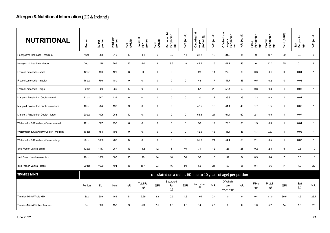| <b>NUTRITIONAL</b>                      | Portion          | kJ per<br>portion | Kcal per<br>portion | %RI<br>(Adult) | Total Fat<br>Per<br>portion | % RI<br>(Adult) | 运<br>Saturated fat<br>Per portion<br>(g) | %RI (Adult) | Carbohydrat<br>es per<br>portion (g) | %RI (Adult) | Of which are<br>sugars<br>Per portion                           | %RI (Adult) | Fibre<br>Per portion<br>(g) | Protein<br>Per portion<br>(g) | % RI (Adult)   | Salt<br>Per portion<br>(g) | %RI (Adult)  |
|-----------------------------------------|------------------|-------------------|---------------------|----------------|-----------------------------|-----------------|------------------------------------------|-------------|--------------------------------------|-------------|-----------------------------------------------------------------|-------------|-----------------------------|-------------------------------|----------------|----------------------------|--------------|
| Honeycomb Iced Latte - medium           | 16oz             | 883               | 210                 | 10             | 4.4                         | 6               | 2.9                                      | 14          | 32.2                                 | 12          | 31.9                                                            | 35          | $\mathbf 0$                 | 10.1                          | 20             | 0.3                        | 6            |
| Honeycomb Iced Latte - large            | 20 <sub>oz</sub> | 1118              | 266                 | 13             | 5.4                         | 8               | 3.6                                      | 18          | 41.5                                 | 15          | 41.1                                                            | 45          | $\mathsf 0$                 | 12.3                          | 25             | 0.4                        | 8            |
| Frozen Lemonade - small                 | 12 oz            | 490               | 120                 | 6              | $\mathsf 0$                 | $\mathbf 0$     | $\mathsf 0$                              | $\mathbf 0$ | 28                                   | 11          | 27.3                                                            | 30          | 0.3                         | 0.1                           | $\mathbf 0$    | 0.04                       | $\mathbf{1}$ |
| Frozen Lemonade - medium                | 16 oz            | 786               | 180                 | 9              | 0.1                         | $\mathbf 0$     | $\mathsf 0$                              | $\mathbf 0$ | 43                                   | 17          | 41.7                                                            | 46          | 0.5                         | 0.2                           | $\mathbf 0$    | 0.06                       | $\mathbf{1}$ |
| Frozen Lemonade - large                 | 20 oz            | 900               | 260                 | 12             | 0.1                         | $\mathbf 0$     | $\mathsf 0$                              | $\mathbf 0$ | 57                                   | 22          | 55.4                                                            | 62          | 0.8                         | 0.3                           | $\mathbf{1}$   | 0.08                       | $\mathbf{1}$ |
| Mango & Passionfruit Cooler - small     | 12 oz            | 567               | 136                 | 6              | 0.1                         | $\mathbf 0$     | $\mathsf 0$                              | $\mathbf 0$ | 30                                   | 12          | 29.3                                                            | 33          | 1.3                         | 0.3                           | $\mathbf{1}$   | 0.04                       | $\mathbf{1}$ |
| Mango & Passionfruit Cooler - medium    | 16 oz            | 784               | 198                 | 9              | 0.1                         | $\mathbf 0$     | $\mathbf 0$                              | $\mathbf 0$ | 42.5                                 | 16          | 41.4                                                            | 46          | 1.7                         | 0.37                          | $\mathbf{1}$   | 0.06                       | $\mathbf{1}$ |
| Mango & Passionfruit Cooler - large     | 20 oz            | 1096              | 263                 | 12             | 0.1                         | $\mathbf 0$     | $\mathsf 0$                              | $\mathbf 0$ | 55.8                                 | 21          | 54.4                                                            | 60          | 2.1                         | 0.5                           | $\mathbf{1}$   | 0.07                       | $\mathbf{1}$ |
| Watermelon & Strawberry Cooler - small  | 12 oz            | 567               | 136                 | 6              | 0.1                         | $\mathbf 0$     | $\mathsf 0$                              | $\mathbf 0$ | 30                                   | 12          | 29.3                                                            | 33          | 1.3                         | 0.3                           | $\mathbf{1}$   | 0.04                       | $\mathbf{1}$ |
| Watermelon & Strawberry Cooler - medium | 16 oz            | 784               | 198                 | 9              | 0.1                         | $\mathbf 0$     | $\mathsf 0$                              | $\mathbf 0$ | 42.5                                 | 16          | 41.4                                                            | 46          | 1.7                         | 0.37                          | $\mathbf{1}$   | 0.06                       | $\mathbf{1}$ |
| Watermelon & Strawberry Cooler-large    | 20 oz            | 1096              | 263                 | 12             | 0.1                         | $\mathbf 0$     | $\mathbf 0$                              | $\mathbf 0$ | 55.8                                 | 21          | 54.4                                                            | 60          | 2.1                         | 0.5                           | $\mathbf{1}$   | 0.07                       | $\mathbf{1}$ |
| Iced French Vanilla- small              | 12 oz            | 1117              | 267                 | 13             | 8.2                         | 12              | 8                                        | 40          | 31                                   | 12          | 25                                                              | 28          | 0.2                         | 2.8                           | $\,6\,$        | 0.6                        | 10           |
| Iced French Vanilla - medium            | 16 oz            | 1506              | 360                 | 15             | 10                          | 14              | 10                                       | 50          | 38                                   | 15          | 31                                                              | 34          | 0.3                         | 3.4                           | $\overline{7}$ | 0.8                        | 13           |
| Iced French Vanilla - large             | 20 oz            | 1690              | 404                 | 18             | 16.4                        | 23              | 16                                       | 80          | 62                                   | 24          | 50                                                              | 55          | 0.4                         | 5.6                           | 11             | 1.3                        | 22           |
| <b>TIMMIES MINIS</b>                    |                  |                   |                     |                |                             |                 |                                          |             |                                      |             | calculated on a child's RDI (up to 10 years of age) per portion |             |                             |                               |                |                            |              |
|                                         | Portion          | KJ                | Kcal                | %RI            | <b>Total Fat</b><br>(g)     | %RI             | Saturated<br>Fat<br>(g)                  | %R          | Carbohydrate<br>(g)                  | %RI         | Of which<br>are<br>sugars (g)                                   | %RI         | Fibre<br>(g)                | Protein<br>(g)                | %RI            | Salt<br>(g)                | %RI          |
| <b>Timmies Minis Whole Milk</b>         | 8oz              | 609               | 165                 | 21             | 2.29                        | 3.3             | 0.9                                      | 4.6         | 1.01                                 | 0.4         | $\mathbf 0$                                                     | $\mathbf 0$ | 0.4                         | 11.0                          | 39.5           | 1.3                        | 26.4         |
| <b>Timmies Minis Chicken Tenders</b>    | 3oz              | 663               | 158                 | 9              | 5.3                         | 7.5             | 1.6                                      | 4.8         | 14                                   | 7.5         | $\mathbf 0$                                                     | $\Omega$    | 1.0                         | 5.2                           | 14             | 1.8                        | 25           |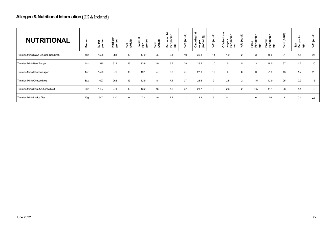| <b>NUTRITIONAL</b>                  | ortion          | kJ per<br>portior | ឌី ទ<br>Kcal<br>porti | %RI<br>(Adult) | <b>Total Fat</b><br>portion<br>o. | % RI<br>(Adult) | م€<br>유<br>73<br>ā<br><b>Satura</b><br>$\mathbf{\widehat{g}}$<br>훕 | %RI (Adult) | Carbohydr<br>$\mathbf{\widehat{g}}$<br>portion<br><b>per</b><br>gs | %RI (Adult)      | 高<br>Per portion<br>Of which<br>sugars | %RI (Adult) | Per portion<br>Fibre<br>ම | tion<br>Protein<br>Per por<br>$\overline{\mathbf{e}}$ | % RI (Adult) | portion<br><u>ធី ៩៑</u><br>ទី | ₽<br>킁<br>≤<br>%RI |
|-------------------------------------|-----------------|-------------------|-----------------------|----------------|-----------------------------------|-----------------|--------------------------------------------------------------------|-------------|--------------------------------------------------------------------|------------------|----------------------------------------|-------------|---------------------------|-------------------------------------------------------|--------------|-------------------------------|--------------------|
| Timmies Minis Mayo Chicken Sandwich | 4oz             | 1598              | 381                   | 19             | 17.9                              | 25              | 2.1                                                                | 10          | 36.8                                                               | 14               | 1.9                                    | 2           | 3                         | 15.6                                                  | 31           | 1.5                           | 25                 |
| Timmies Minis Beef Burger           | 4oz             | 1310              | 311                   | 15             | 13.9                              | 19              | 5.7                                                                | 28          | 26.5                                                               | 10 <sup>10</sup> | 5                                      | 5           | 3                         | 18.5                                                  | 37           | 1.2                           | 20                 |
| Timmies Minis Cheeseburger          | 4oz             | 1579              | 376                   | 18             | 19.1                              | 27              | 8.3                                                                | 41          | 27.8                                                               | 10               | 6                                      | 6           | $\mathcal{B}$             | 21.9                                                  | 43           | 1.7                           | 28                 |
| Timmies Minis Cheese Melt           | 3 <sub>oz</sub> | 1097              | 262                   | 13             | 12.9                              | 18              | 7.4                                                                | 37          | 23.6                                                               | 9                | 2.5                                    | 2           | 1.5                       | 12.9                                                  | 25           | 0.9                           | 15                 |
| Timmies Minis Ham & Cheese Melt     | 3 <sub>oz</sub> | 1137              | 271                   | 13             | 13.2                              | 18              | 7.5                                                                | 37          | 23.7                                                               | 9                | 2.6                                    | 2           | 1.5                       | 14.4                                                  | 28           | 1.1                           | 18                 |
| Timmies Minis Lattice fries         | 40 <sub>g</sub> | 547               | 130                   | 6              | 7.2                               | 10 <sup>°</sup> | 2.2                                                                | 11          | 13.8                                                               | 5                | 0.1                                    |             | $\Omega$                  | 1.6                                                   | 3            | 0.1                           | 2.5                |